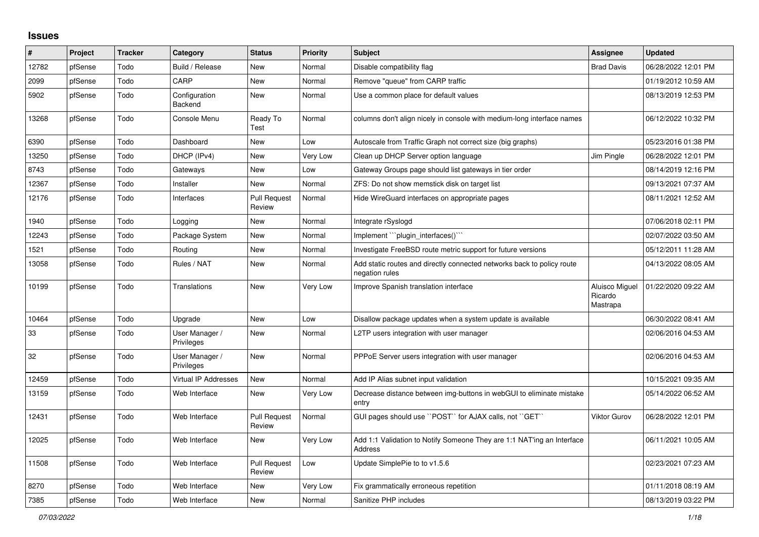## **Issues**

| #     | Project | <b>Tracker</b> | Category                     | <b>Status</b>                 | <b>Priority</b> | <b>Subject</b>                                                                           | <b>Assignee</b>                       | <b>Updated</b>      |
|-------|---------|----------------|------------------------------|-------------------------------|-----------------|------------------------------------------------------------------------------------------|---------------------------------------|---------------------|
| 12782 | pfSense | Todo           | Build / Release              | New                           | Normal          | Disable compatibility flag                                                               | <b>Brad Davis</b>                     | 06/28/2022 12:01 PM |
| 2099  | pfSense | Todo           | CARP                         | New                           | Normal          | Remove "queue" from CARP traffic                                                         |                                       | 01/19/2012 10:59 AM |
| 5902  | pfSense | Todo           | Configuration<br>Backend     | New                           | Normal          | Use a common place for default values                                                    |                                       | 08/13/2019 12:53 PM |
| 13268 | pfSense | Todo           | Console Menu                 | Ready To<br>Test              | Normal          | columns don't align nicely in console with medium-long interface names                   |                                       | 06/12/2022 10:32 PM |
| 6390  | pfSense | Todo           | Dashboard                    | New                           | Low             | Autoscale from Traffic Graph not correct size (big graphs)                               |                                       | 05/23/2016 01:38 PM |
| 13250 | pfSense | Todo           | DHCP (IPv4)                  | <b>New</b>                    | <b>Very Low</b> | Clean up DHCP Server option language                                                     | Jim Pingle                            | 06/28/2022 12:01 PM |
| 8743  | pfSense | Todo           | Gateways                     | New                           | Low             | Gateway Groups page should list gateways in tier order                                   |                                       | 08/14/2019 12:16 PM |
| 12367 | pfSense | Todo           | Installer                    | New                           | Normal          | ZFS: Do not show memstick disk on target list                                            |                                       | 09/13/2021 07:37 AM |
| 12176 | pfSense | Todo           | Interfaces                   | <b>Pull Request</b><br>Review | Normal          | Hide WireGuard interfaces on appropriate pages                                           |                                       | 08/11/2021 12:52 AM |
| 1940  | pfSense | Todo           | Logging                      | New                           | Normal          | Integrate rSyslogd                                                                       |                                       | 07/06/2018 02:11 PM |
| 12243 | pfSense | Todo           | Package System               | <b>New</b>                    | Normal          | Implement "`plugin_interfaces()`"                                                        |                                       | 02/07/2022 03:50 AM |
| 1521  | pfSense | Todo           | Routing                      | <b>New</b>                    | Normal          | Investigate FreeBSD route metric support for future versions                             |                                       | 05/12/2011 11:28 AM |
| 13058 | pfSense | Todo           | Rules / NAT                  | New                           | Normal          | Add static routes and directly connected networks back to policy route<br>negation rules |                                       | 04/13/2022 08:05 AM |
| 10199 | pfSense | Todo           | Translations                 | New                           | Very Low        | Improve Spanish translation interface                                                    | Aluisco Miguel<br>Ricardo<br>Mastrapa | 01/22/2020 09:22 AM |
| 10464 | pfSense | Todo           | Upgrade                      | New                           | Low             | Disallow package updates when a system update is available                               |                                       | 06/30/2022 08:41 AM |
| 33    | pfSense | Todo           | User Manager /<br>Privileges | New                           | Normal          | L2TP users integration with user manager                                                 |                                       | 02/06/2016 04:53 AM |
| 32    | pfSense | Todo           | User Manager /<br>Privileges | New                           | Normal          | PPPoE Server users integration with user manager                                         |                                       | 02/06/2016 04:53 AM |
| 12459 | pfSense | Todo           | Virtual IP Addresses         | New                           | Normal          | Add IP Alias subnet input validation                                                     |                                       | 10/15/2021 09:35 AM |
| 13159 | pfSense | Todo           | Web Interface                | New                           | Very Low        | Decrease distance between img-buttons in webGUI to eliminate mistake<br>entry            |                                       | 05/14/2022 06:52 AM |
| 12431 | pfSense | Todo           | Web Interface                | <b>Pull Request</b><br>Review | Normal          | GUI pages should use "POST" for AJAX calls, not "GET"                                    | <b>Viktor Gurov</b>                   | 06/28/2022 12:01 PM |
| 12025 | pfSense | Todo           | Web Interface                | <b>New</b>                    | Very Low        | Add 1:1 Validation to Notify Someone They are 1:1 NAT'ing an Interface<br><b>Address</b> |                                       | 06/11/2021 10:05 AM |
| 11508 | pfSense | Todo           | Web Interface                | <b>Pull Request</b><br>Review | Low             | Update SimplePie to to v1.5.6                                                            |                                       | 02/23/2021 07:23 AM |
| 8270  | pfSense | Todo           | Web Interface                | New                           | Very Low        | Fix grammatically erroneous repetition                                                   |                                       | 01/11/2018 08:19 AM |
| 7385  | pfSense | Todo           | Web Interface                | New                           | Normal          | Sanitize PHP includes                                                                    |                                       | 08/13/2019 03:22 PM |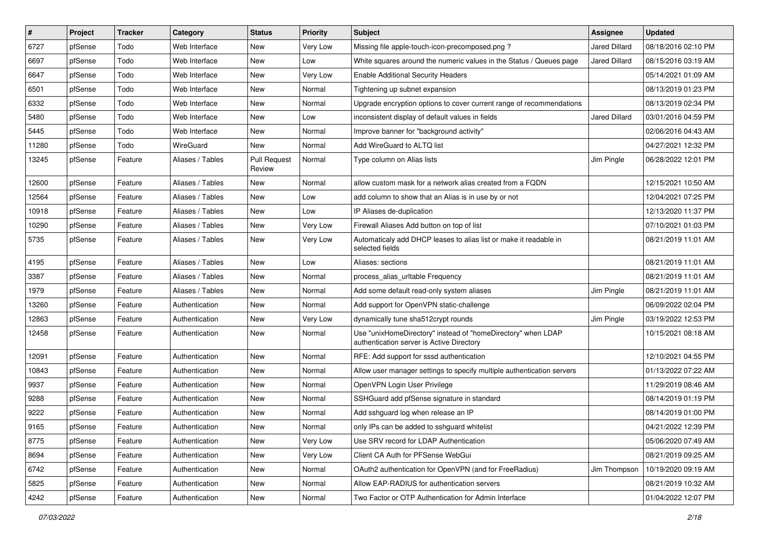| $\sharp$ | Project | <b>Tracker</b> | Category         | <b>Status</b>                 | <b>Priority</b> | <b>Subject</b>                                                                                            | <b>Assignee</b>      | <b>Updated</b>      |
|----------|---------|----------------|------------------|-------------------------------|-----------------|-----------------------------------------------------------------------------------------------------------|----------------------|---------------------|
| 6727     | pfSense | Todo           | Web Interface    | New                           | Very Low        | Missing file apple-touch-icon-precomposed.png?                                                            | <b>Jared Dillard</b> | 08/18/2016 02:10 PM |
| 6697     | pfSense | Todo           | Web Interface    | New                           | Low             | White squares around the numeric values in the Status / Queues page                                       | <b>Jared Dillard</b> | 08/15/2016 03:19 AM |
| 6647     | pfSense | Todo           | Web Interface    | New                           | Very Low        | <b>Enable Additional Security Headers</b>                                                                 |                      | 05/14/2021 01:09 AM |
| 6501     | pfSense | Todo           | Web Interface    | New                           | Normal          | Tightening up subnet expansion                                                                            |                      | 08/13/2019 01:23 PM |
| 6332     | pfSense | Todo           | Web Interface    | New                           | Normal          | Upgrade encryption options to cover current range of recommendations                                      |                      | 08/13/2019 02:34 PM |
| 5480     | pfSense | Todo           | Web Interface    | New                           | Low             | inconsistent display of default values in fields                                                          | <b>Jared Dillard</b> | 03/01/2016 04:59 PM |
| 5445     | pfSense | Todo           | Web Interface    | New                           | Normal          | Improve banner for "background activity"                                                                  |                      | 02/06/2016 04:43 AM |
| 11280    | pfSense | Todo           | WireGuard        | New                           | Normal          | Add WireGuard to ALTQ list                                                                                |                      | 04/27/2021 12:32 PM |
| 13245    | pfSense | Feature        | Aliases / Tables | <b>Pull Request</b><br>Review | Normal          | Type column on Alias lists                                                                                | Jim Pingle           | 06/28/2022 12:01 PM |
| 12600    | pfSense | Feature        | Aliases / Tables | New                           | Normal          | allow custom mask for a network alias created from a FQDN                                                 |                      | 12/15/2021 10:50 AM |
| 12564    | pfSense | Feature        | Aliases / Tables | New                           | Low             | add column to show that an Alias is in use by or not                                                      |                      | 12/04/2021 07:25 PM |
| 10918    | pfSense | Feature        | Aliases / Tables | New                           | Low             | IP Aliases de-duplication                                                                                 |                      | 12/13/2020 11:37 PM |
| 10290    | pfSense | Feature        | Aliases / Tables | New                           | Very Low        | Firewall Aliases Add button on top of list                                                                |                      | 07/10/2021 01:03 PM |
| 5735     | pfSense | Feature        | Aliases / Tables | New                           | Very Low        | Automaticaly add DHCP leases to alias list or make it readable in<br>selected fields                      |                      | 08/21/2019 11:01 AM |
| 4195     | pfSense | Feature        | Aliases / Tables | New                           | Low             | Aliases: sections                                                                                         |                      | 08/21/2019 11:01 AM |
| 3387     | pfSense | Feature        | Aliases / Tables | New                           | Normal          | process_alias_urltable Frequency                                                                          |                      | 08/21/2019 11:01 AM |
| 1979     | pfSense | Feature        | Aliases / Tables | New                           | Normal          | Add some default read-only system aliases                                                                 | Jim Pingle           | 08/21/2019 11:01 AM |
| 13260    | pfSense | Feature        | Authentication   | New                           | Normal          | Add support for OpenVPN static-challenge                                                                  |                      | 06/09/2022 02:04 PM |
| 12863    | pfSense | Feature        | Authentication   | New                           | <b>Very Low</b> | dynamically tune sha512crypt rounds                                                                       | Jim Pingle           | 03/19/2022 12:53 PM |
| 12458    | pfSense | Feature        | Authentication   | New                           | Normal          | Use "unixHomeDirectory" instead of "homeDirectory" when LDAP<br>authentication server is Active Directory |                      | 10/15/2021 08:18 AM |
| 12091    | pfSense | Feature        | Authentication   | New                           | Normal          | RFE: Add support for sssd authentication                                                                  |                      | 12/10/2021 04:55 PM |
| 10843    | pfSense | Feature        | Authentication   | New                           | Normal          | Allow user manager settings to specify multiple authentication servers                                    |                      | 01/13/2022 07:22 AM |
| 9937     | pfSense | Feature        | Authentication   | New                           | Normal          | OpenVPN Login User Privilege                                                                              |                      | 11/29/2019 08:46 AM |
| 9288     | pfSense | Feature        | Authentication   | New                           | Normal          | SSHGuard add pfSense signature in standard                                                                |                      | 08/14/2019 01:19 PM |
| 9222     | pfSense | Feature        | Authentication   | New                           | Normal          | Add sshguard log when release an IP                                                                       |                      | 08/14/2019 01:00 PM |
| 9165     | pfSense | Feature        | Authentication   | New                           | Normal          | only IPs can be added to sshguard whitelist                                                               |                      | 04/21/2022 12:39 PM |
| 8775     | pfSense | Feature        | Authentication   | New                           | Very Low        | Use SRV record for LDAP Authentication                                                                    |                      | 05/06/2020 07:49 AM |
| 8694     | pfSense | Feature        | Authentication   | New                           | Very Low        | Client CA Auth for PFSense WebGui                                                                         |                      | 08/21/2019 09:25 AM |
| 6742     | pfSense | Feature        | Authentication   | New                           | Normal          | OAuth2 authentication for OpenVPN (and for FreeRadius)                                                    | Jim Thompson         | 10/19/2020 09:19 AM |
| 5825     | pfSense | Feature        | Authentication   | New                           | Normal          | Allow EAP-RADIUS for authentication servers                                                               |                      | 08/21/2019 10:32 AM |
| 4242     | pfSense | Feature        | Authentication   | New                           | Normal          | Two Factor or OTP Authentication for Admin Interface                                                      |                      | 01/04/2022 12:07 PM |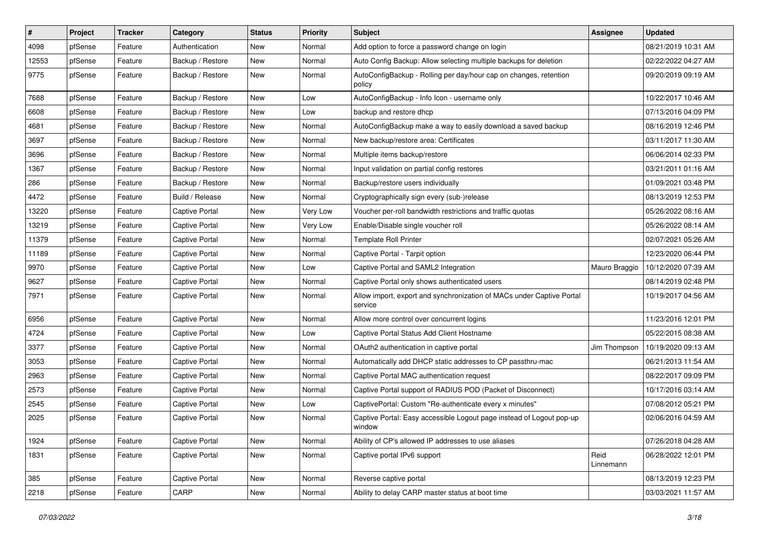| $\vert$ # | Project | <b>Tracker</b> | Category              | <b>Status</b> | <b>Priority</b> | <b>Subject</b>                                                                   | <b>Assignee</b>   | <b>Updated</b>      |
|-----------|---------|----------------|-----------------------|---------------|-----------------|----------------------------------------------------------------------------------|-------------------|---------------------|
| 4098      | pfSense | Feature        | Authentication        | New           | Normal          | Add option to force a password change on login                                   |                   | 08/21/2019 10:31 AM |
| 12553     | pfSense | Feature        | Backup / Restore      | New           | Normal          | Auto Config Backup: Allow selecting multiple backups for deletion                |                   | 02/22/2022 04:27 AM |
| 9775      | pfSense | Feature        | Backup / Restore      | New           | Normal          | AutoConfigBackup - Rolling per day/hour cap on changes, retention<br>policy      |                   | 09/20/2019 09:19 AM |
| 7688      | pfSense | Feature        | Backup / Restore      | New           | Low             | AutoConfigBackup - Info Icon - username only                                     |                   | 10/22/2017 10:46 AM |
| 6608      | pfSense | Feature        | Backup / Restore      | New           | Low             | backup and restore dhcp                                                          |                   | 07/13/2016 04:09 PM |
| 4681      | pfSense | Feature        | Backup / Restore      | New           | Normal          | AutoConfigBackup make a way to easily download a saved backup                    |                   | 08/16/2019 12:46 PM |
| 3697      | pfSense | Feature        | Backup / Restore      | New           | Normal          | New backup/restore area: Certificates                                            |                   | 03/11/2017 11:30 AM |
| 3696      | pfSense | Feature        | Backup / Restore      | New           | Normal          | Multiple items backup/restore                                                    |                   | 06/06/2014 02:33 PM |
| 1367      | pfSense | Feature        | Backup / Restore      | New           | Normal          | Input validation on partial config restores                                      |                   | 03/21/2011 01:16 AM |
| 286       | pfSense | Feature        | Backup / Restore      | New           | Normal          | Backup/restore users individually                                                |                   | 01/09/2021 03:48 PM |
| 4472      | pfSense | Feature        | Build / Release       | New           | Normal          | Cryptographically sign every (sub-)release                                       |                   | 08/13/2019 12:53 PM |
| 13220     | pfSense | Feature        | <b>Captive Portal</b> | New           | Very Low        | Voucher per-roll bandwidth restrictions and traffic quotas                       |                   | 05/26/2022 08:16 AM |
| 13219     | pfSense | Feature        | <b>Captive Portal</b> | New           | Very Low        | Enable/Disable single voucher roll                                               |                   | 05/26/2022 08:14 AM |
| 11379     | pfSense | Feature        | <b>Captive Portal</b> | New           | Normal          | <b>Template Roll Printer</b>                                                     |                   | 02/07/2021 05:26 AM |
| 11189     | pfSense | Feature        | <b>Captive Portal</b> | New           | Normal          | Captive Portal - Tarpit option                                                   |                   | 12/23/2020 06:44 PM |
| 9970      | pfSense | Feature        | <b>Captive Portal</b> | New           | Low             | Captive Portal and SAML2 Integration                                             | Mauro Braggio     | 10/12/2020 07:39 AM |
| 9627      | pfSense | Feature        | <b>Captive Portal</b> | New           | Normal          | Captive Portal only shows authenticated users                                    |                   | 08/14/2019 02:48 PM |
| 7971      | pfSense | Feature        | <b>Captive Portal</b> | New           | Normal          | Allow import, export and synchronization of MACs under Captive Portal<br>service |                   | 10/19/2017 04:56 AM |
| 6956      | pfSense | Feature        | Captive Portal        | New           | Normal          | Allow more control over concurrent logins                                        |                   | 11/23/2016 12:01 PM |
| 4724      | pfSense | Feature        | <b>Captive Portal</b> | New           | Low             | Captive Portal Status Add Client Hostname                                        |                   | 05/22/2015 08:38 AM |
| 3377      | pfSense | Feature        | <b>Captive Portal</b> | New           | Normal          | OAuth2 authentication in captive portal                                          | Jim Thompson      | 10/19/2020 09:13 AM |
| 3053      | pfSense | Feature        | <b>Captive Portal</b> | New           | Normal          | Automatically add DHCP static addresses to CP passthru-mac                       |                   | 06/21/2013 11:54 AM |
| 2963      | pfSense | Feature        | <b>Captive Portal</b> | New           | Normal          | Captive Portal MAC authentication request                                        |                   | 08/22/2017 09:09 PM |
| 2573      | pfSense | Feature        | <b>Captive Portal</b> | New           | Normal          | Captive Portal support of RADIUS POD (Packet of Disconnect)                      |                   | 10/17/2016 03:14 AM |
| 2545      | pfSense | Feature        | <b>Captive Portal</b> | New           | Low             | CaptivePortal: Custom "Re-authenticate every x minutes"                          |                   | 07/08/2012 05:21 PM |
| 2025      | pfSense | Feature        | <b>Captive Portal</b> | New           | Normal          | Captive Portal: Easy accessible Logout page instead of Logout pop-up<br>window   |                   | 02/06/2016 04:59 AM |
| 1924      | pfSense | Feature        | Captive Portal        | New           | Normal          | Ability of CP's allowed IP addresses to use aliases                              |                   | 07/26/2018 04:28 AM |
| 1831      | pfSense | Feature        | Captive Portal        | New           | Normal          | Captive portal IPv6 support                                                      | Reid<br>Linnemann | 06/28/2022 12:01 PM |
| 385       | pfSense | Feature        | Captive Portal        | New           | Normal          | Reverse captive portal                                                           |                   | 08/13/2019 12:23 PM |
| 2218      | pfSense | Feature        | CARP                  | New           | Normal          | Ability to delay CARP master status at boot time                                 |                   | 03/03/2021 11:57 AM |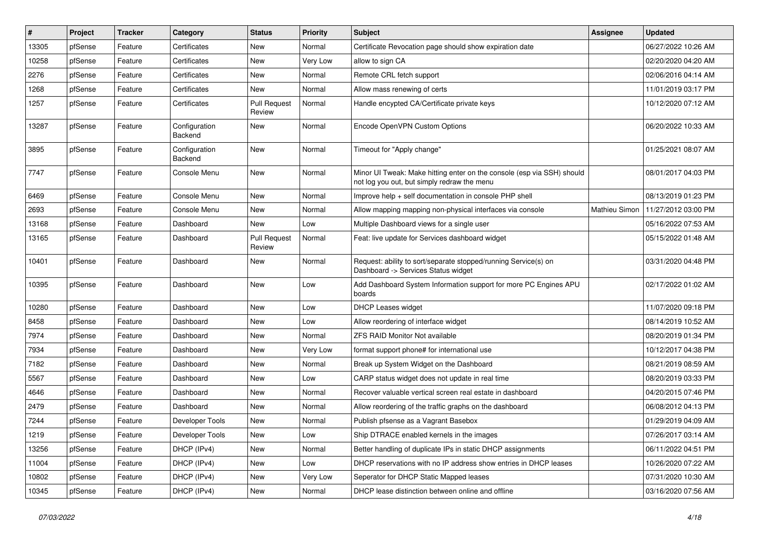| #     | Project | <b>Tracker</b> | Category                 | <b>Status</b>                 | <b>Priority</b> | <b>Subject</b>                                                                                                        | <b>Assignee</b> | <b>Updated</b>      |
|-------|---------|----------------|--------------------------|-------------------------------|-----------------|-----------------------------------------------------------------------------------------------------------------------|-----------------|---------------------|
| 13305 | pfSense | Feature        | Certificates             | New                           | Normal          | Certificate Revocation page should show expiration date                                                               |                 | 06/27/2022 10:26 AM |
| 10258 | pfSense | Feature        | Certificates             | New                           | Very Low        | allow to sign CA                                                                                                      |                 | 02/20/2020 04:20 AM |
| 2276  | pfSense | Feature        | Certificates             | New                           | Normal          | Remote CRL fetch support                                                                                              |                 | 02/06/2016 04:14 AM |
| 1268  | pfSense | Feature        | Certificates             | New                           | Normal          | Allow mass renewing of certs                                                                                          |                 | 11/01/2019 03:17 PM |
| 1257  | pfSense | Feature        | Certificates             | <b>Pull Request</b><br>Review | Normal          | Handle encypted CA/Certificate private keys                                                                           |                 | 10/12/2020 07:12 AM |
| 13287 | pfSense | Feature        | Configuration<br>Backend | New                           | Normal          | Encode OpenVPN Custom Options                                                                                         |                 | 06/20/2022 10:33 AM |
| 3895  | pfSense | Feature        | Configuration<br>Backend | New                           | Normal          | Timeout for "Apply change"                                                                                            |                 | 01/25/2021 08:07 AM |
| 7747  | pfSense | Feature        | Console Menu             | New                           | Normal          | Minor UI Tweak: Make hitting enter on the console (esp via SSH) should<br>not log you out, but simply redraw the menu |                 | 08/01/2017 04:03 PM |
| 6469  | pfSense | Feature        | Console Menu             | New                           | Normal          | Improve help + self documentation in console PHP shell                                                                |                 | 08/13/2019 01:23 PM |
| 2693  | pfSense | Feature        | Console Menu             | New                           | Normal          | Allow mapping mapping non-physical interfaces via console                                                             | Mathieu Simon   | 11/27/2012 03:00 PM |
| 13168 | pfSense | Feature        | Dashboard                | New                           | Low             | Multiple Dashboard views for a single user                                                                            |                 | 05/16/2022 07:53 AM |
| 13165 | pfSense | Feature        | Dashboard                | <b>Pull Request</b><br>Review | Normal          | Feat: live update for Services dashboard widget                                                                       |                 | 05/15/2022 01:48 AM |
| 10401 | pfSense | Feature        | Dashboard                | New                           | Normal          | Request: ability to sort/separate stopped/running Service(s) on<br>Dashboard -> Services Status widget                |                 | 03/31/2020 04:48 PM |
| 10395 | pfSense | Feature        | Dashboard                | New                           | Low             | Add Dashboard System Information support for more PC Engines APU<br>boards                                            |                 | 02/17/2022 01:02 AM |
| 10280 | pfSense | Feature        | Dashboard                | New                           | Low             | DHCP Leases widget                                                                                                    |                 | 11/07/2020 09:18 PM |
| 8458  | pfSense | Feature        | Dashboard                | New                           | Low             | Allow reordering of interface widget                                                                                  |                 | 08/14/2019 10:52 AM |
| 7974  | pfSense | Feature        | Dashboard                | New                           | Normal          | <b>ZFS RAID Monitor Not available</b>                                                                                 |                 | 08/20/2019 01:34 PM |
| 7934  | pfSense | Feature        | Dashboard                | New                           | Very Low        | format support phone# for international use                                                                           |                 | 10/12/2017 04:38 PM |
| 7182  | pfSense | Feature        | Dashboard                | New                           | Normal          | Break up System Widget on the Dashboard                                                                               |                 | 08/21/2019 08:59 AM |
| 5567  | pfSense | Feature        | Dashboard                | New                           | Low             | CARP status widget does not update in real time                                                                       |                 | 08/20/2019 03:33 PM |
| 4646  | pfSense | Feature        | Dashboard                | New                           | Normal          | Recover valuable vertical screen real estate in dashboard                                                             |                 | 04/20/2015 07:46 PM |
| 2479  | pfSense | Feature        | Dashboard                | New                           | Normal          | Allow reordering of the traffic graphs on the dashboard                                                               |                 | 06/08/2012 04:13 PM |
| 7244  | pfSense | Feature        | Developer Tools          | New                           | Normal          | Publish pfsense as a Vagrant Basebox                                                                                  |                 | 01/29/2019 04:09 AM |
| 1219  | pfSense | Feature        | Developer Tools          | New                           | Low             | Ship DTRACE enabled kernels in the images                                                                             |                 | 07/26/2017 03:14 AM |
| 13256 | pfSense | Feature        | DHCP (IPv4)              | New                           | Normal          | Better handling of duplicate IPs in static DHCP assignments                                                           |                 | 06/11/2022 04:51 PM |
| 11004 | pfSense | Feature        | DHCP (IPv4)              | New                           | Low             | DHCP reservations with no IP address show entries in DHCP leases                                                      |                 | 10/26/2020 07:22 AM |
| 10802 | pfSense | Feature        | DHCP (IPv4)              | New                           | Very Low        | Seperator for DHCP Static Mapped leases                                                                               |                 | 07/31/2020 10:30 AM |
| 10345 | pfSense | Feature        | DHCP (IPv4)              | New                           | Normal          | DHCP lease distinction between online and offline                                                                     |                 | 03/16/2020 07:56 AM |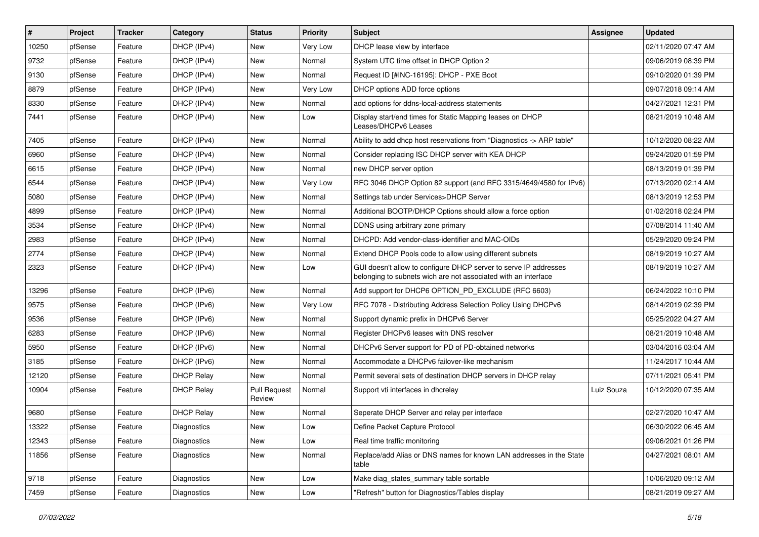| $\vert$ # | Project | <b>Tracker</b> | Category          | <b>Status</b>                 | <b>Priority</b> | Subject                                                                                                                            | <b>Assignee</b> | <b>Updated</b>      |
|-----------|---------|----------------|-------------------|-------------------------------|-----------------|------------------------------------------------------------------------------------------------------------------------------------|-----------------|---------------------|
| 10250     | pfSense | Feature        | DHCP (IPv4)       | New                           | Very Low        | DHCP lease view by interface                                                                                                       |                 | 02/11/2020 07:47 AM |
| 9732      | pfSense | Feature        | DHCP (IPv4)       | New                           | Normal          | System UTC time offset in DHCP Option 2                                                                                            |                 | 09/06/2019 08:39 PM |
| 9130      | pfSense | Feature        | DHCP (IPv4)       | New                           | Normal          | Request ID [#INC-16195]: DHCP - PXE Boot                                                                                           |                 | 09/10/2020 01:39 PM |
| 8879      | pfSense | Feature        | DHCP (IPv4)       | New                           | Very Low        | DHCP options ADD force options                                                                                                     |                 | 09/07/2018 09:14 AM |
| 8330      | pfSense | Feature        | DHCP (IPv4)       | New                           | Normal          | add options for ddns-local-address statements                                                                                      |                 | 04/27/2021 12:31 PM |
| 7441      | pfSense | Feature        | DHCP (IPv4)       | New                           | Low             | Display start/end times for Static Mapping leases on DHCP<br>Leases/DHCPv6 Leases                                                  |                 | 08/21/2019 10:48 AM |
| 7405      | pfSense | Feature        | DHCP (IPv4)       | New                           | Normal          | Ability to add dhcp host reservations from "Diagnostics -> ARP table"                                                              |                 | 10/12/2020 08:22 AM |
| 6960      | pfSense | Feature        | DHCP (IPv4)       | New                           | Normal          | Consider replacing ISC DHCP server with KEA DHCP                                                                                   |                 | 09/24/2020 01:59 PM |
| 6615      | pfSense | Feature        | DHCP (IPv4)       | New                           | Normal          | new DHCP server option                                                                                                             |                 | 08/13/2019 01:39 PM |
| 6544      | pfSense | Feature        | DHCP (IPv4)       | New                           | Very Low        | RFC 3046 DHCP Option 82 support (and RFC 3315/4649/4580 for IPv6)                                                                  |                 | 07/13/2020 02:14 AM |
| 5080      | pfSense | Feature        | DHCP (IPv4)       | New                           | Normal          | Settings tab under Services>DHCP Server                                                                                            |                 | 08/13/2019 12:53 PM |
| 4899      | pfSense | Feature        | DHCP (IPv4)       | New                           | Normal          | Additional BOOTP/DHCP Options should allow a force option                                                                          |                 | 01/02/2018 02:24 PM |
| 3534      | pfSense | Feature        | DHCP (IPv4)       | New                           | Normal          | DDNS using arbitrary zone primary                                                                                                  |                 | 07/08/2014 11:40 AM |
| 2983      | pfSense | Feature        | DHCP (IPv4)       | New                           | Normal          | DHCPD: Add vendor-class-identifier and MAC-OIDs                                                                                    |                 | 05/29/2020 09:24 PM |
| 2774      | pfSense | Feature        | DHCP (IPv4)       | New                           | Normal          | Extend DHCP Pools code to allow using different subnets                                                                            |                 | 08/19/2019 10:27 AM |
| 2323      | pfSense | Feature        | DHCP (IPv4)       | New                           | Low             | GUI doesn't allow to configure DHCP server to serve IP addresses<br>belonging to subnets wich are not associated with an interface |                 | 08/19/2019 10:27 AM |
| 13296     | pfSense | Feature        | DHCP (IPv6)       | New                           | Normal          | Add support for DHCP6 OPTION PD EXCLUDE (RFC 6603)                                                                                 |                 | 06/24/2022 10:10 PM |
| 9575      | pfSense | Feature        | DHCP (IPv6)       | New                           | Very Low        | RFC 7078 - Distributing Address Selection Policy Using DHCPv6                                                                      |                 | 08/14/2019 02:39 PM |
| 9536      | pfSense | Feature        | DHCP (IPv6)       | New                           | Normal          | Support dynamic prefix in DHCPv6 Server                                                                                            |                 | 05/25/2022 04:27 AM |
| 6283      | pfSense | Feature        | DHCP (IPv6)       | New                           | Normal          | Register DHCPv6 leases with DNS resolver                                                                                           |                 | 08/21/2019 10:48 AM |
| 5950      | pfSense | Feature        | DHCP (IPv6)       | New                           | Normal          | DHCPv6 Server support for PD of PD-obtained networks                                                                               |                 | 03/04/2016 03:04 AM |
| 3185      | pfSense | Feature        | DHCP (IPv6)       | New                           | Normal          | Accommodate a DHCPv6 failover-like mechanism                                                                                       |                 | 11/24/2017 10:44 AM |
| 12120     | pfSense | Feature        | <b>DHCP Relay</b> | New                           | Normal          | Permit several sets of destination DHCP servers in DHCP relay                                                                      |                 | 07/11/2021 05:41 PM |
| 10904     | pfSense | Feature        | <b>DHCP Relay</b> | <b>Pull Request</b><br>Review | Normal          | Support vti interfaces in dhcrelay                                                                                                 | Luiz Souza      | 10/12/2020 07:35 AM |
| 9680      | pfSense | Feature        | <b>DHCP Relay</b> | New                           | Normal          | Seperate DHCP Server and relay per interface                                                                                       |                 | 02/27/2020 10:47 AM |
| 13322     | pfSense | Feature        | Diagnostics       | New                           | Low             | Define Packet Capture Protocol                                                                                                     |                 | 06/30/2022 06:45 AM |
| 12343     | pfSense | Feature        | Diagnostics       | New                           | Low             | Real time traffic monitoring                                                                                                       |                 | 09/06/2021 01:26 PM |
| 11856     | pfSense | Feature        | Diagnostics       | New                           | Normal          | Replace/add Alias or DNS names for known LAN addresses in the State<br>table                                                       |                 | 04/27/2021 08:01 AM |
| 9718      | pfSense | Feature        | Diagnostics       | New                           | Low             | Make diag_states_summary table sortable                                                                                            |                 | 10/06/2020 09:12 AM |
| 7459      | pfSense | Feature        | Diagnostics       | New                           | Low             | "Refresh" button for Diagnostics/Tables display                                                                                    |                 | 08/21/2019 09:27 AM |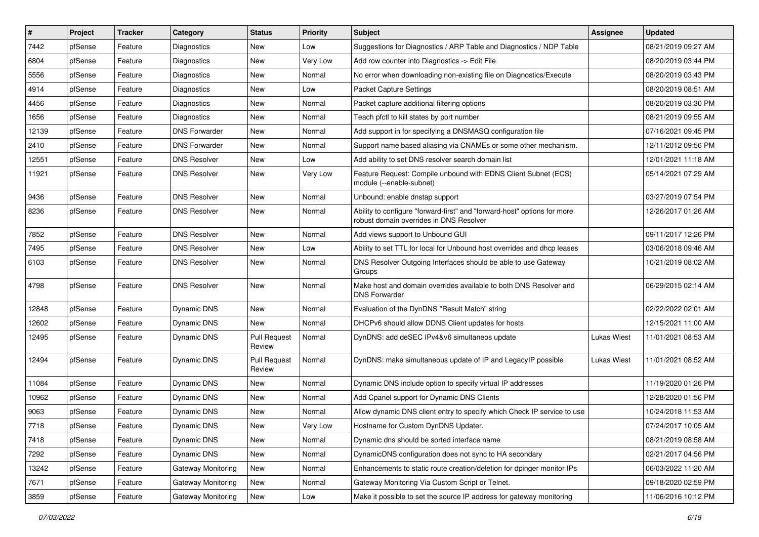| #     | Project | <b>Tracker</b> | Category             | <b>Status</b>                 | <b>Priority</b> | <b>Subject</b>                                                                                                      | Assignee           | <b>Updated</b>      |
|-------|---------|----------------|----------------------|-------------------------------|-----------------|---------------------------------------------------------------------------------------------------------------------|--------------------|---------------------|
| 7442  | pfSense | Feature        | Diagnostics          | New                           | Low             | Suggestions for Diagnostics / ARP Table and Diagnostics / NDP Table                                                 |                    | 08/21/2019 09:27 AM |
| 6804  | pfSense | Feature        | Diagnostics          | New                           | Very Low        | Add row counter into Diagnostics -> Edit File                                                                       |                    | 08/20/2019 03:44 PM |
| 5556  | pfSense | Feature        | Diagnostics          | New                           | Normal          | No error when downloading non-existing file on Diagnostics/Execute                                                  |                    | 08/20/2019 03:43 PM |
| 4914  | pfSense | Feature        | <b>Diagnostics</b>   | New                           | Low             | Packet Capture Settings                                                                                             |                    | 08/20/2019 08:51 AM |
| 4456  | pfSense | Feature        | <b>Diagnostics</b>   | New                           | Normal          | Packet capture additional filtering options                                                                         |                    | 08/20/2019 03:30 PM |
| 1656  | pfSense | Feature        | <b>Diagnostics</b>   | New                           | Normal          | Teach pfctl to kill states by port number                                                                           |                    | 08/21/2019 09:55 AM |
| 12139 | pfSense | Feature        | <b>DNS Forwarder</b> | New                           | Normal          | Add support in for specifying a DNSMASQ configuration file                                                          |                    | 07/16/2021 09:45 PM |
| 2410  | pfSense | Feature        | <b>DNS Forwarder</b> | New                           | Normal          | Support name based aliasing via CNAMEs or some other mechanism.                                                     |                    | 12/11/2012 09:56 PM |
| 12551 | pfSense | Feature        | <b>DNS Resolver</b>  | New                           | Low             | Add ability to set DNS resolver search domain list                                                                  |                    | 12/01/2021 11:18 AM |
| 11921 | pfSense | Feature        | <b>DNS Resolver</b>  | New                           | Very Low        | Feature Request: Compile unbound with EDNS Client Subnet (ECS)<br>module (--enable-subnet)                          |                    | 05/14/2021 07:29 AM |
| 9436  | pfSense | Feature        | <b>DNS Resolver</b>  | New                           | Normal          | Unbound: enable dnstap support                                                                                      |                    | 03/27/2019 07:54 PM |
| 8236  | pfSense | Feature        | <b>DNS Resolver</b>  | New                           | Normal          | Ability to configure "forward-first" and "forward-host" options for more<br>robust domain overrides in DNS Resolver |                    | 12/26/2017 01:26 AM |
| 7852  | pfSense | Feature        | <b>DNS Resolver</b>  | New                           | Normal          | Add views support to Unbound GUI                                                                                    |                    | 09/11/2017 12:26 PM |
| 7495  | pfSense | Feature        | <b>DNS Resolver</b>  | New                           | Low             | Ability to set TTL for local for Unbound host overrides and dhcp leases                                             |                    | 03/06/2018 09:46 AM |
| 6103  | pfSense | Feature        | <b>DNS Resolver</b>  | New                           | Normal          | DNS Resolver Outgoing Interfaces should be able to use Gateway<br>Groups                                            |                    | 10/21/2019 08:02 AM |
| 4798  | pfSense | Feature        | <b>DNS Resolver</b>  | New                           | Normal          | Make host and domain overrides available to both DNS Resolver and<br><b>DNS Forwarder</b>                           |                    | 06/29/2015 02:14 AM |
| 12848 | pfSense | Feature        | Dynamic DNS          | New                           | Normal          | Evaluation of the DynDNS "Result Match" string                                                                      |                    | 02/22/2022 02:01 AM |
| 12602 | pfSense | Feature        | Dynamic DNS          | New                           | Normal          | DHCPv6 should allow DDNS Client updates for hosts                                                                   |                    | 12/15/2021 11:00 AM |
| 12495 | pfSense | Feature        | <b>Dynamic DNS</b>   | <b>Pull Request</b><br>Review | Normal          | DynDNS: add deSEC IPv4&v6 simultaneos update                                                                        | <b>Lukas Wiest</b> | 11/01/2021 08:53 AM |
| 12494 | pfSense | Feature        | Dynamic DNS          | <b>Pull Request</b><br>Review | Normal          | DynDNS: make simultaneous update of IP and LegacyIP possible                                                        | Lukas Wiest        | 11/01/2021 08:52 AM |
| 11084 | pfSense | Feature        | Dynamic DNS          | New                           | Normal          | Dynamic DNS include option to specify virtual IP addresses                                                          |                    | 11/19/2020 01:26 PM |
| 10962 | pfSense | Feature        | <b>Dynamic DNS</b>   | New                           | Normal          | Add Cpanel support for Dynamic DNS Clients                                                                          |                    | 12/28/2020 01:56 PM |
| 9063  | pfSense | Feature        | Dynamic DNS          | New                           | Normal          | Allow dynamic DNS client entry to specify which Check IP service to use                                             |                    | 10/24/2018 11:53 AM |
| 7718  | pfSense | Feature        | <b>Dynamic DNS</b>   | New                           | Very Low        | Hostname for Custom DynDNS Updater.                                                                                 |                    | 07/24/2017 10:05 AM |
| 7418  | pfSense | Feature        | Dynamic DNS          | New                           | Normal          | Dynamic dns should be sorted interface name                                                                         |                    | 08/21/2019 08:58 AM |
| 7292  | pfSense | Feature        | <b>Dynamic DNS</b>   | New                           | Normal          | DynamicDNS configuration does not sync to HA secondary                                                              |                    | 02/21/2017 04:56 PM |
| 13242 | pfSense | Feature        | Gateway Monitoring   | New                           | Normal          | Enhancements to static route creation/deletion for dpinger monitor IPs                                              |                    | 06/03/2022 11:20 AM |
| 7671  | pfSense | Feature        | Gateway Monitoring   | New                           | Normal          | Gateway Monitoring Via Custom Script or Telnet.                                                                     |                    | 09/18/2020 02:59 PM |
| 3859  | pfSense | Feature        | Gateway Monitoring   | New                           | Low             | Make it possible to set the source IP address for gateway monitoring                                                |                    | 11/06/2016 10:12 PM |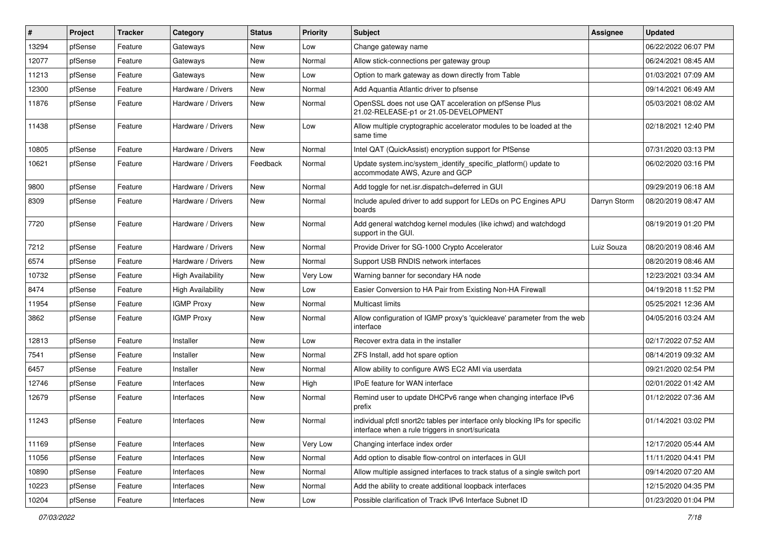| #     | Project | <b>Tracker</b> | Category                 | <b>Status</b> | <b>Priority</b> | Subject                                                                                                                          | <b>Assignee</b> | <b>Updated</b>      |
|-------|---------|----------------|--------------------------|---------------|-----------------|----------------------------------------------------------------------------------------------------------------------------------|-----------------|---------------------|
| 13294 | pfSense | Feature        | Gateways                 | New           | Low             | Change gateway name                                                                                                              |                 | 06/22/2022 06:07 PM |
| 12077 | pfSense | Feature        | Gateways                 | New           | Normal          | Allow stick-connections per gateway group                                                                                        |                 | 06/24/2021 08:45 AM |
| 11213 | pfSense | Feature        | Gateways                 | New           | Low             | Option to mark gateway as down directly from Table                                                                               |                 | 01/03/2021 07:09 AM |
| 12300 | pfSense | Feature        | Hardware / Drivers       | New           | Normal          | Add Aquantia Atlantic driver to pfsense                                                                                          |                 | 09/14/2021 06:49 AM |
| 11876 | pfSense | Feature        | Hardware / Drivers       | New           | Normal          | OpenSSL does not use QAT acceleration on pfSense Plus<br>21.02-RELEASE-p1 or 21.05-DEVELOPMENT                                   |                 | 05/03/2021 08:02 AM |
| 11438 | pfSense | Feature        | Hardware / Drivers       | New           | Low             | Allow multiple cryptographic accelerator modules to be loaded at the<br>same time                                                |                 | 02/18/2021 12:40 PM |
| 10805 | pfSense | Feature        | Hardware / Drivers       | New           | Normal          | Intel QAT (QuickAssist) encryption support for PfSense                                                                           |                 | 07/31/2020 03:13 PM |
| 10621 | pfSense | Feature        | Hardware / Drivers       | Feedback      | Normal          | Update system.inc/system_identify_specific_platform() update to<br>accommodate AWS, Azure and GCP                                |                 | 06/02/2020 03:16 PM |
| 9800  | pfSense | Feature        | Hardware / Drivers       | New           | Normal          | Add toggle for net.isr.dispatch=deferred in GUI                                                                                  |                 | 09/29/2019 06:18 AM |
| 8309  | pfSense | Feature        | Hardware / Drivers       | New           | Normal          | Include apuled driver to add support for LEDs on PC Engines APU<br>boards                                                        | Darryn Storm    | 08/20/2019 08:47 AM |
| 7720  | pfSense | Feature        | Hardware / Drivers       | New           | Normal          | Add general watchdog kernel modules (like ichwd) and watchdogd<br>support in the GUI.                                            |                 | 08/19/2019 01:20 PM |
| 7212  | pfSense | Feature        | Hardware / Drivers       | New           | Normal          | Provide Driver for SG-1000 Crypto Accelerator                                                                                    | Luiz Souza      | 08/20/2019 08:46 AM |
| 6574  | pfSense | Feature        | Hardware / Drivers       | New           | Normal          | Support USB RNDIS network interfaces                                                                                             |                 | 08/20/2019 08:46 AM |
| 10732 | pfSense | Feature        | <b>High Availability</b> | New           | Very Low        | Warning banner for secondary HA node                                                                                             |                 | 12/23/2021 03:34 AM |
| 8474  | pfSense | Feature        | <b>High Availability</b> | New           | Low             | Easier Conversion to HA Pair from Existing Non-HA Firewall                                                                       |                 | 04/19/2018 11:52 PM |
| 11954 | pfSense | Feature        | <b>IGMP Proxy</b>        | New           | Normal          | Multicast limits                                                                                                                 |                 | 05/25/2021 12:36 AM |
| 3862  | pfSense | Feature        | <b>IGMP Proxy</b>        | New           | Normal          | Allow configuration of IGMP proxy's 'quickleave' parameter from the web<br>interface                                             |                 | 04/05/2016 03:24 AM |
| 12813 | pfSense | Feature        | Installer                | New           | Low             | Recover extra data in the installer                                                                                              |                 | 02/17/2022 07:52 AM |
| 7541  | pfSense | Feature        | Installer                | New           | Normal          | ZFS Install, add hot spare option                                                                                                |                 | 08/14/2019 09:32 AM |
| 6457  | pfSense | Feature        | Installer                | New           | Normal          | Allow ability to configure AWS EC2 AMI via userdata                                                                              |                 | 09/21/2020 02:54 PM |
| 12746 | pfSense | Feature        | Interfaces               | New           | High            | IPoE feature for WAN interface                                                                                                   |                 | 02/01/2022 01:42 AM |
| 12679 | pfSense | Feature        | Interfaces               | New           | Normal          | Remind user to update DHCPv6 range when changing interface IPv6<br>prefix                                                        |                 | 01/12/2022 07:36 AM |
| 11243 | pfSense | Feature        | Interfaces               | New           | Normal          | individual pfctl snort2c tables per interface only blocking IPs for specific<br>interface when a rule triggers in snort/suricata |                 | 01/14/2021 03:02 PM |
| 11169 | pfSense | Feature        | Interfaces               | New           | Very Low        | Changing interface index order                                                                                                   |                 | 12/17/2020 05:44 AM |
| 11056 | pfSense | Feature        | Interfaces               | New           | Normal          | Add option to disable flow-control on interfaces in GUI                                                                          |                 | 11/11/2020 04:41 PM |
| 10890 | pfSense | Feature        | Interfaces               | New           | Normal          | Allow multiple assigned interfaces to track status of a single switch port                                                       |                 | 09/14/2020 07:20 AM |
| 10223 | pfSense | Feature        | Interfaces               | New           | Normal          | Add the ability to create additional loopback interfaces                                                                         |                 | 12/15/2020 04:35 PM |
| 10204 | pfSense | Feature        | Interfaces               | New           | Low             | Possible clarification of Track IPv6 Interface Subnet ID                                                                         |                 | 01/23/2020 01:04 PM |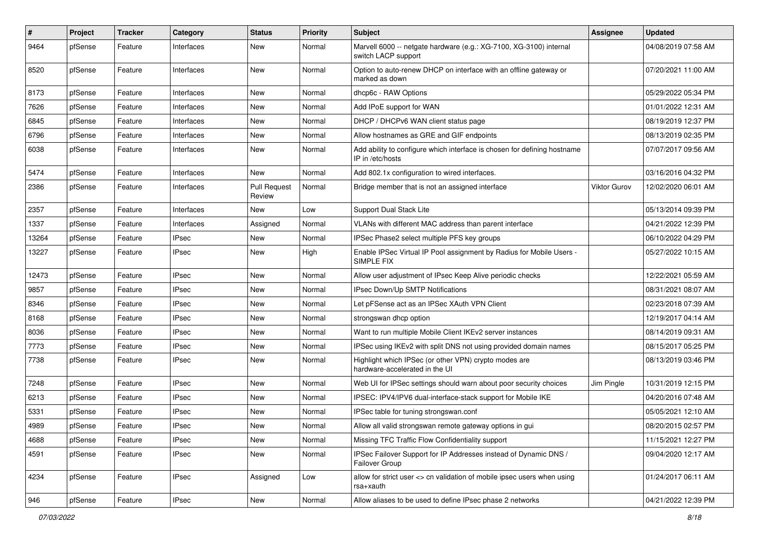| #     | Project | <b>Tracker</b> | Category     | <b>Status</b>                 | <b>Priority</b> | <b>Subject</b>                                                                               | Assignee            | <b>Updated</b>      |
|-------|---------|----------------|--------------|-------------------------------|-----------------|----------------------------------------------------------------------------------------------|---------------------|---------------------|
| 9464  | pfSense | Feature        | Interfaces   | New                           | Normal          | Marvell 6000 -- netgate hardware (e.g.: XG-7100, XG-3100) internal<br>switch LACP support    |                     | 04/08/2019 07:58 AM |
| 8520  | pfSense | Feature        | Interfaces   | New                           | Normal          | Option to auto-renew DHCP on interface with an offline gateway or<br>marked as down          |                     | 07/20/2021 11:00 AM |
| 8173  | pfSense | Feature        | Interfaces   | New                           | Normal          | dhcp6c - RAW Options                                                                         |                     | 05/29/2022 05:34 PM |
| 7626  | pfSense | Feature        | Interfaces   | New                           | Normal          | Add IPoE support for WAN                                                                     |                     | 01/01/2022 12:31 AM |
| 6845  | pfSense | Feature        | Interfaces   | New                           | Normal          | DHCP / DHCPv6 WAN client status page                                                         |                     | 08/19/2019 12:37 PM |
| 6796  | pfSense | Feature        | Interfaces   | New                           | Normal          | Allow hostnames as GRE and GIF endpoints                                                     |                     | 08/13/2019 02:35 PM |
| 6038  | pfSense | Feature        | Interfaces   | New                           | Normal          | Add ability to configure which interface is chosen for defining hostname<br>IP in /etc/hosts |                     | 07/07/2017 09:56 AM |
| 5474  | pfSense | Feature        | Interfaces   | New                           | Normal          | Add 802.1x configuration to wired interfaces.                                                |                     | 03/16/2016 04:32 PM |
| 2386  | pfSense | Feature        | Interfaces   | <b>Pull Request</b><br>Review | Normal          | Bridge member that is not an assigned interface                                              | <b>Viktor Gurov</b> | 12/02/2020 06:01 AM |
| 2357  | pfSense | Feature        | Interfaces   | <b>New</b>                    | Low             | Support Dual Stack Lite                                                                      |                     | 05/13/2014 09:39 PM |
| 1337  | pfSense | Feature        | Interfaces   | Assigned                      | Normal          | VLANs with different MAC address than parent interface                                       |                     | 04/21/2022 12:39 PM |
| 13264 | pfSense | Feature        | <b>IPsec</b> | New                           | Normal          | IPSec Phase2 select multiple PFS key groups                                                  |                     | 06/10/2022 04:29 PM |
| 13227 | pfSense | Feature        | <b>IPsec</b> | New                           | High            | Enable IPSec Virtual IP Pool assignment by Radius for Mobile Users -<br><b>SIMPLE FIX</b>    |                     | 05/27/2022 10:15 AM |
| 12473 | pfSense | Feature        | <b>IPsec</b> | New                           | Normal          | Allow user adjustment of IPsec Keep Alive periodic checks                                    |                     | 12/22/2021 05:59 AM |
| 9857  | pfSense | Feature        | <b>IPsec</b> | New                           | Normal          | IPsec Down/Up SMTP Notifications                                                             |                     | 08/31/2021 08:07 AM |
| 8346  | pfSense | Feature        | <b>IPsec</b> | New                           | Normal          | Let pFSense act as an IPSec XAuth VPN Client                                                 |                     | 02/23/2018 07:39 AM |
| 8168  | pfSense | Feature        | <b>IPsec</b> | New                           | Normal          | strongswan dhcp option                                                                       |                     | 12/19/2017 04:14 AM |
| 8036  | pfSense | Feature        | <b>IPsec</b> | New                           | Normal          | Want to run multiple Mobile Client IKEv2 server instances                                    |                     | 08/14/2019 09:31 AM |
| 7773  | pfSense | Feature        | <b>IPsec</b> | New                           | Normal          | IPSec using IKEv2 with split DNS not using provided domain names                             |                     | 08/15/2017 05:25 PM |
| 7738  | pfSense | Feature        | <b>IPsec</b> | New                           | Normal          | Highlight which IPSec (or other VPN) crypto modes are<br>hardware-accelerated in the UI      |                     | 08/13/2019 03:46 PM |
| 7248  | pfSense | Feature        | <b>IPsec</b> | New                           | Normal          | Web UI for IPSec settings should warn about poor security choices                            | Jim Pingle          | 10/31/2019 12:15 PM |
| 6213  | pfSense | Feature        | <b>IPsec</b> | New                           | Normal          | IPSEC: IPV4/IPV6 dual-interface-stack support for Mobile IKE                                 |                     | 04/20/2016 07:48 AM |
| 5331  | pfSense | Feature        | <b>IPsec</b> | New                           | Normal          | IPSec table for tuning strongswan.conf                                                       |                     | 05/05/2021 12:10 AM |
| 4989  | pfSense | Feature        | <b>IPsec</b> | New                           | Normal          | Allow all valid strongswan remote gateway options in gui                                     |                     | 08/20/2015 02:57 PM |
| 4688  | pfSense | Feature        | <b>IPsec</b> | New                           | Normal          | Missing TFC Traffic Flow Confidentiality support                                             |                     | 11/15/2021 12:27 PM |
| 4591  | pfSense | Feature        | <b>IPsec</b> | New                           | Normal          | IPSec Failover Support for IP Addresses instead of Dynamic DNS /<br>Failover Group           |                     | 09/04/2020 12:17 AM |
| 4234  | pfSense | Feature        | <b>IPsec</b> | Assigned                      | Low             | allow for strict user <> cn validation of mobile ipsec users when using<br>rsa+xauth         |                     | 01/24/2017 06:11 AM |
| 946   | pfSense | Feature        | <b>IPsec</b> | New                           | Normal          | Allow aliases to be used to define IPsec phase 2 networks                                    |                     | 04/21/2022 12:39 PM |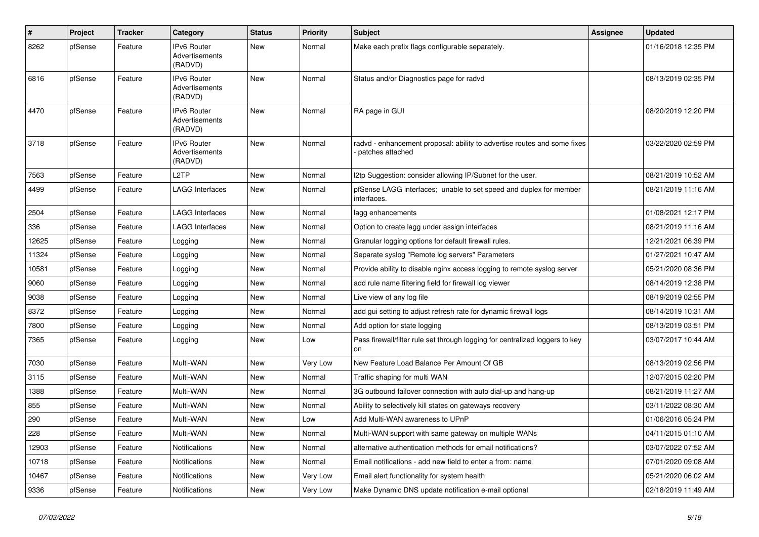| $\vert$ # | Project | <b>Tracker</b> | Category                                        | <b>Status</b> | Priority | <b>Subject</b>                                                                               | <b>Assignee</b> | <b>Updated</b>      |
|-----------|---------|----------------|-------------------------------------------------|---------------|----------|----------------------------------------------------------------------------------------------|-----------------|---------------------|
| 8262      | pfSense | Feature        | IPv6 Router<br>Advertisements<br>(RADVD)        | New           | Normal   | Make each prefix flags configurable separately.                                              |                 | 01/16/2018 12:35 PM |
| 6816      | pfSense | Feature        | IPv6 Router<br>Advertisements<br>(RADVD)        | <b>New</b>    | Normal   | Status and/or Diagnostics page for radvd                                                     |                 | 08/13/2019 02:35 PM |
| 4470      | pfSense | Feature        | <b>IPv6 Router</b><br>Advertisements<br>(RADVD) | New           | Normal   | RA page in GUI                                                                               |                 | 08/20/2019 12:20 PM |
| 3718      | pfSense | Feature        | IPv6 Router<br>Advertisements<br>(RADVD)        | New           | Normal   | radvd - enhancement proposal: ability to advertise routes and some fixes<br>patches attached |                 | 03/22/2020 02:59 PM |
| 7563      | pfSense | Feature        | L <sub>2</sub> TP                               | New           | Normal   | 12tp Suggestion: consider allowing IP/Subnet for the user.                                   |                 | 08/21/2019 10:52 AM |
| 4499      | pfSense | Feature        | LAGG Interfaces                                 | New           | Normal   | pfSense LAGG interfaces; unable to set speed and duplex for member<br>interfaces.            |                 | 08/21/2019 11:16 AM |
| 2504      | pfSense | Feature        | <b>LAGG Interfaces</b>                          | <b>New</b>    | Normal   | lagg enhancements                                                                            |                 | 01/08/2021 12:17 PM |
| 336       | pfSense | Feature        | <b>LAGG Interfaces</b>                          | New           | Normal   | Option to create lagg under assign interfaces                                                |                 | 08/21/2019 11:16 AM |
| 12625     | pfSense | Feature        | Logging                                         | New           | Normal   | Granular logging options for default firewall rules.                                         |                 | 12/21/2021 06:39 PM |
| 11324     | pfSense | Feature        | Logging                                         | New           | Normal   | Separate syslog "Remote log servers" Parameters                                              |                 | 01/27/2021 10:47 AM |
| 10581     | pfSense | Feature        | Logging                                         | New           | Normal   | Provide ability to disable nginx access logging to remote syslog server                      |                 | 05/21/2020 08:36 PM |
| 9060      | pfSense | Feature        | Logging                                         | New           | Normal   | add rule name filtering field for firewall log viewer                                        |                 | 08/14/2019 12:38 PM |
| 9038      | pfSense | Feature        | Logging                                         | New           | Normal   | Live view of any log file                                                                    |                 | 08/19/2019 02:55 PM |
| 8372      | pfSense | Feature        | Logging                                         | New           | Normal   | add gui setting to adjust refresh rate for dynamic firewall logs                             |                 | 08/14/2019 10:31 AM |
| 7800      | pfSense | Feature        | Logging                                         | New           | Normal   | Add option for state logging                                                                 |                 | 08/13/2019 03:51 PM |
| 7365      | pfSense | Feature        | Logging                                         | New           | Low      | Pass firewall/filter rule set through logging for centralized loggers to key<br>on           |                 | 03/07/2017 10:44 AM |
| 7030      | pfSense | Feature        | Multi-WAN                                       | New           | Very Low | New Feature Load Balance Per Amount Of GB                                                    |                 | 08/13/2019 02:56 PM |
| 3115      | pfSense | Feature        | Multi-WAN                                       | New           | Normal   | Traffic shaping for multi WAN                                                                |                 | 12/07/2015 02:20 PM |
| 1388      | pfSense | Feature        | Multi-WAN                                       | New           | Normal   | 3G outbound failover connection with auto dial-up and hang-up                                |                 | 08/21/2019 11:27 AM |
| 855       | pfSense | Feature        | Multi-WAN                                       | New           | Normal   | Ability to selectively kill states on gateways recovery                                      |                 | 03/11/2022 08:30 AM |
| 290       | pfSense | Feature        | Multi-WAN                                       | New           | Low      | Add Multi-WAN awareness to UPnP                                                              |                 | 01/06/2016 05:24 PM |
| 228       | pfSense | Feature        | Multi-WAN                                       | New           | Normal   | Multi-WAN support with same gateway on multiple WANs                                         |                 | 04/11/2015 01:10 AM |
| 12903     | pfSense | Feature        | Notifications                                   | New           | Normal   | alternative authentication methods for email notifications?                                  |                 | 03/07/2022 07:52 AM |
| 10718     | pfSense | Feature        | <b>Notifications</b>                            | New           | Normal   | Email notifications - add new field to enter a from: name                                    |                 | 07/01/2020 09:08 AM |
| 10467     | pfSense | Feature        | Notifications                                   | New           | Very Low | Email alert functionality for system health                                                  |                 | 05/21/2020 06:02 AM |
| 9336      | pfSense | Feature        | Notifications                                   | New           | Very Low | Make Dynamic DNS update notification e-mail optional                                         |                 | 02/18/2019 11:49 AM |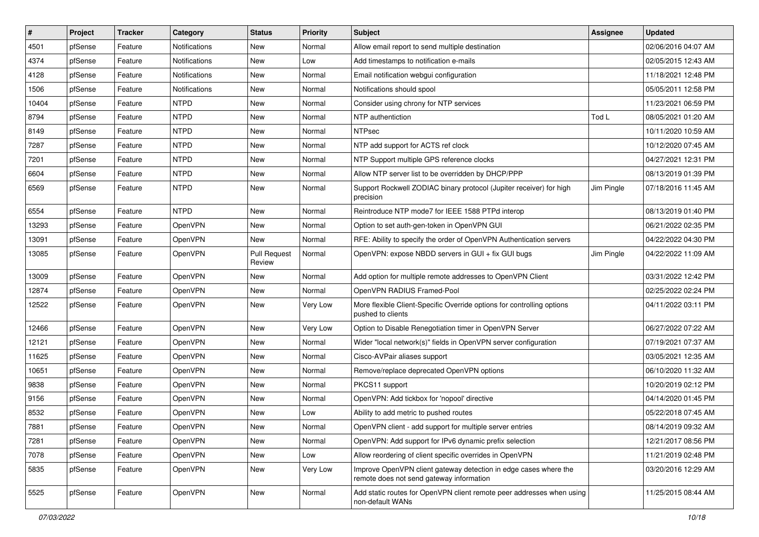| $\vert$ # | Project | <b>Tracker</b> | Category       | <b>Status</b>                 | <b>Priority</b> | <b>Subject</b>                                                                                               | <b>Assignee</b> | <b>Updated</b>      |
|-----------|---------|----------------|----------------|-------------------------------|-----------------|--------------------------------------------------------------------------------------------------------------|-----------------|---------------------|
| 4501      | pfSense | Feature        | Notifications  | New                           | Normal          | Allow email report to send multiple destination                                                              |                 | 02/06/2016 04:07 AM |
| 4374      | pfSense | Feature        | Notifications  | New                           | Low             | Add timestamps to notification e-mails                                                                       |                 | 02/05/2015 12:43 AM |
| 4128      | pfSense | Feature        | Notifications  | New                           | Normal          | Email notification webqui configuration                                                                      |                 | 11/18/2021 12:48 PM |
| 1506      | pfSense | Feature        | Notifications  | New                           | Normal          | Notifications should spool                                                                                   |                 | 05/05/2011 12:58 PM |
| 10404     | pfSense | Feature        | <b>NTPD</b>    | New                           | Normal          | Consider using chrony for NTP services                                                                       |                 | 11/23/2021 06:59 PM |
| 8794      | pfSense | Feature        | <b>NTPD</b>    | New                           | Normal          | NTP authentiction                                                                                            | Tod L           | 08/05/2021 01:20 AM |
| 8149      | pfSense | Feature        | <b>NTPD</b>    | New                           | Normal          | <b>NTPsec</b>                                                                                                |                 | 10/11/2020 10:59 AM |
| 7287      | pfSense | Feature        | <b>NTPD</b>    | New                           | Normal          | NTP add support for ACTS ref clock                                                                           |                 | 10/12/2020 07:45 AM |
| 7201      | pfSense | Feature        | <b>NTPD</b>    | New                           | Normal          | NTP Support multiple GPS reference clocks                                                                    |                 | 04/27/2021 12:31 PM |
| 6604      | pfSense | Feature        | <b>NTPD</b>    | New                           | Normal          | Allow NTP server list to be overridden by DHCP/PPP                                                           |                 | 08/13/2019 01:39 PM |
| 6569      | pfSense | Feature        | <b>NTPD</b>    | New                           | Normal          | Support Rockwell ZODIAC binary protocol (Jupiter receiver) for high<br>precision                             | Jim Pingle      | 07/18/2016 11:45 AM |
| 6554      | pfSense | Feature        | <b>NTPD</b>    | New                           | Normal          | Reintroduce NTP mode7 for IEEE 1588 PTPd interop                                                             |                 | 08/13/2019 01:40 PM |
| 13293     | pfSense | Feature        | OpenVPN        | New                           | Normal          | Option to set auth-gen-token in OpenVPN GUI                                                                  |                 | 06/21/2022 02:35 PM |
| 13091     | pfSense | Feature        | <b>OpenVPN</b> | New                           | Normal          | RFE: Ability to specify the order of OpenVPN Authentication servers                                          |                 | 04/22/2022 04:30 PM |
| 13085     | pfSense | Feature        | OpenVPN        | <b>Pull Request</b><br>Review | Normal          | OpenVPN: expose NBDD servers in GUI + fix GUI bugs                                                           | Jim Pingle      | 04/22/2022 11:09 AM |
| 13009     | pfSense | Feature        | OpenVPN        | New                           | Normal          | Add option for multiple remote addresses to OpenVPN Client                                                   |                 | 03/31/2022 12:42 PM |
| 12874     | pfSense | Feature        | <b>OpenVPN</b> | New                           | Normal          | OpenVPN RADIUS Framed-Pool                                                                                   |                 | 02/25/2022 02:24 PM |
| 12522     | pfSense | Feature        | OpenVPN        | New                           | Very Low        | More flexible Client-Specific Override options for controlling options<br>pushed to clients                  |                 | 04/11/2022 03:11 PM |
| 12466     | pfSense | Feature        | OpenVPN        | New                           | Very Low        | Option to Disable Renegotiation timer in OpenVPN Server                                                      |                 | 06/27/2022 07:22 AM |
| 12121     | pfSense | Feature        | <b>OpenVPN</b> | New                           | Normal          | Wider "local network(s)" fields in OpenVPN server configuration                                              |                 | 07/19/2021 07:37 AM |
| 11625     | pfSense | Feature        | <b>OpenVPN</b> | New                           | Normal          | Cisco-AVPair aliases support                                                                                 |                 | 03/05/2021 12:35 AM |
| 10651     | pfSense | Feature        | OpenVPN        | New                           | Normal          | Remove/replace deprecated OpenVPN options                                                                    |                 | 06/10/2020 11:32 AM |
| 9838      | pfSense | Feature        | OpenVPN        | New                           | Normal          | PKCS11 support                                                                                               |                 | 10/20/2019 02:12 PM |
| 9156      | pfSense | Feature        | <b>OpenVPN</b> | New                           | Normal          | OpenVPN: Add tickbox for 'nopool' directive                                                                  |                 | 04/14/2020 01:45 PM |
| 8532      | pfSense | Feature        | OpenVPN        | New                           | Low             | Ability to add metric to pushed routes                                                                       |                 | 05/22/2018 07:45 AM |
| 7881      | pfSense | Feature        | OpenVPN        | New                           | Normal          | OpenVPN client - add support for multiple server entries                                                     |                 | 08/14/2019 09:32 AM |
| 7281      | pfSense | Feature        | OpenVPN        | New                           | Normal          | OpenVPN: Add support for IPv6 dynamic prefix selection                                                       |                 | 12/21/2017 08:56 PM |
| 7078      | pfSense | Feature        | OpenVPN        | New                           | Low             | Allow reordering of client specific overrides in OpenVPN                                                     |                 | 11/21/2019 02:48 PM |
| 5835      | pfSense | Feature        | OpenVPN        | New                           | Very Low        | Improve OpenVPN client gateway detection in edge cases where the<br>remote does not send gateway information |                 | 03/20/2016 12:29 AM |
| 5525      | pfSense | Feature        | OpenVPN        | New                           | Normal          | Add static routes for OpenVPN client remote peer addresses when using<br>non-default WANs                    |                 | 11/25/2015 08:44 AM |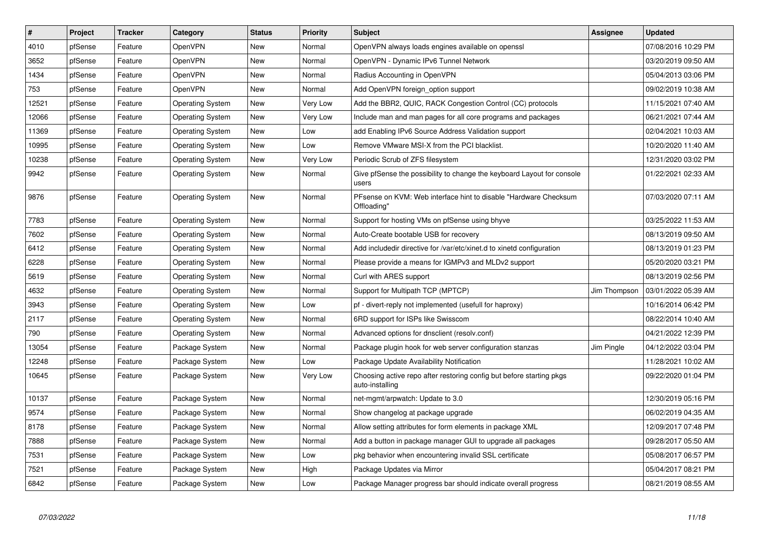| $\vert$ # | <b>Project</b> | <b>Tracker</b> | Category                | <b>Status</b> | Priority | <b>Subject</b>                                                                          | Assignee     | <b>Updated</b>      |
|-----------|----------------|----------------|-------------------------|---------------|----------|-----------------------------------------------------------------------------------------|--------------|---------------------|
| 4010      | pfSense        | Feature        | OpenVPN                 | New           | Normal   | OpenVPN always loads engines available on openssl                                       |              | 07/08/2016 10:29 PM |
| 3652      | pfSense        | Feature        | OpenVPN                 | New           | Normal   | OpenVPN - Dynamic IPv6 Tunnel Network                                                   |              | 03/20/2019 09:50 AM |
| 1434      | pfSense        | Feature        | <b>OpenVPN</b>          | New           | Normal   | Radius Accounting in OpenVPN                                                            |              | 05/04/2013 03:06 PM |
| 753       | pfSense        | Feature        | OpenVPN                 | New           | Normal   | Add OpenVPN foreign option support                                                      |              | 09/02/2019 10:38 AM |
| 12521     | pfSense        | Feature        | <b>Operating System</b> | New           | Very Low | Add the BBR2, QUIC, RACK Congestion Control (CC) protocols                              |              | 11/15/2021 07:40 AM |
| 12066     | pfSense        | Feature        | <b>Operating System</b> | New           | Very Low | Include man and man pages for all core programs and packages                            |              | 06/21/2021 07:44 AM |
| 11369     | pfSense        | Feature        | <b>Operating System</b> | New           | Low      | add Enabling IPv6 Source Address Validation support                                     |              | 02/04/2021 10:03 AM |
| 10995     | pfSense        | Feature        | <b>Operating System</b> | New           | Low      | Remove VMware MSI-X from the PCI blacklist.                                             |              | 10/20/2020 11:40 AM |
| 10238     | pfSense        | Feature        | <b>Operating System</b> | New           | Very Low | Periodic Scrub of ZFS filesystem                                                        |              | 12/31/2020 03:02 PM |
| 9942      | pfSense        | Feature        | <b>Operating System</b> | New           | Normal   | Give pfSense the possibility to change the keyboard Layout for console<br>users         |              | 01/22/2021 02:33 AM |
| 9876      | pfSense        | Feature        | <b>Operating System</b> | New           | Normal   | PFsense on KVM: Web interface hint to disable "Hardware Checksum<br>Offloading"         |              | 07/03/2020 07:11 AM |
| 7783      | pfSense        | Feature        | Operating System        | New           | Normal   | Support for hosting VMs on pfSense using bhyve                                          |              | 03/25/2022 11:53 AM |
| 7602      | pfSense        | Feature        | <b>Operating System</b> | New           | Normal   | Auto-Create bootable USB for recovery                                                   |              | 08/13/2019 09:50 AM |
| 6412      | pfSense        | Feature        | <b>Operating System</b> | New           | Normal   | Add includedir directive for /var/etc/xinet.d to xinetd configuration                   |              | 08/13/2019 01:23 PM |
| 6228      | pfSense        | Feature        | <b>Operating System</b> | New           | Normal   | Please provide a means for IGMPv3 and MLDv2 support                                     |              | 05/20/2020 03:21 PM |
| 5619      | pfSense        | Feature        | <b>Operating System</b> | New           | Normal   | Curl with ARES support                                                                  |              | 08/13/2019 02:56 PM |
| 4632      | pfSense        | Feature        | <b>Operating System</b> | New           | Normal   | Support for Multipath TCP (MPTCP)                                                       | Jim Thompson | 03/01/2022 05:39 AM |
| 3943      | pfSense        | Feature        | <b>Operating System</b> | New           | Low      | pf - divert-reply not implemented (usefull for haproxy)                                 |              | 10/16/2014 06:42 PM |
| 2117      | pfSense        | Feature        | <b>Operating System</b> | New           | Normal   | 6RD support for ISPs like Swisscom                                                      |              | 08/22/2014 10:40 AM |
| 790       | pfSense        | Feature        | <b>Operating System</b> | New           | Normal   | Advanced options for dnsclient (resolv.conf)                                            |              | 04/21/2022 12:39 PM |
| 13054     | pfSense        | Feature        | Package System          | New           | Normal   | Package plugin hook for web server configuration stanzas                                | Jim Pingle   | 04/12/2022 03:04 PM |
| 12248     | pfSense        | Feature        | Package System          | New           | Low      | Package Update Availability Notification                                                |              | 11/28/2021 10:02 AM |
| 10645     | pfSense        | Feature        | Package System          | New           | Very Low | Choosing active repo after restoring config but before starting pkgs<br>auto-installing |              | 09/22/2020 01:04 PM |
| 10137     | pfSense        | Feature        | Package System          | New           | Normal   | net-mgmt/arpwatch: Update to 3.0                                                        |              | 12/30/2019 05:16 PM |
| 9574      | pfSense        | Feature        | Package System          | New           | Normal   | Show changelog at package upgrade                                                       |              | 06/02/2019 04:35 AM |
| 8178      | pfSense        | Feature        | Package System          | New           | Normal   | Allow setting attributes for form elements in package XML                               |              | 12/09/2017 07:48 PM |
| 7888      | pfSense        | Feature        | Package System          | New           | Normal   | Add a button in package manager GUI to upgrade all packages                             |              | 09/28/2017 05:50 AM |
| 7531      | pfSense        | Feature        | Package System          | New           | Low      | pkg behavior when encountering invalid SSL certificate                                  |              | 05/08/2017 06:57 PM |
| 7521      | pfSense        | Feature        | Package System          | New           | High     | Package Updates via Mirror                                                              |              | 05/04/2017 08:21 PM |
| 6842      | pfSense        | Feature        | Package System          | New           | Low      | Package Manager progress bar should indicate overall progress                           |              | 08/21/2019 08:55 AM |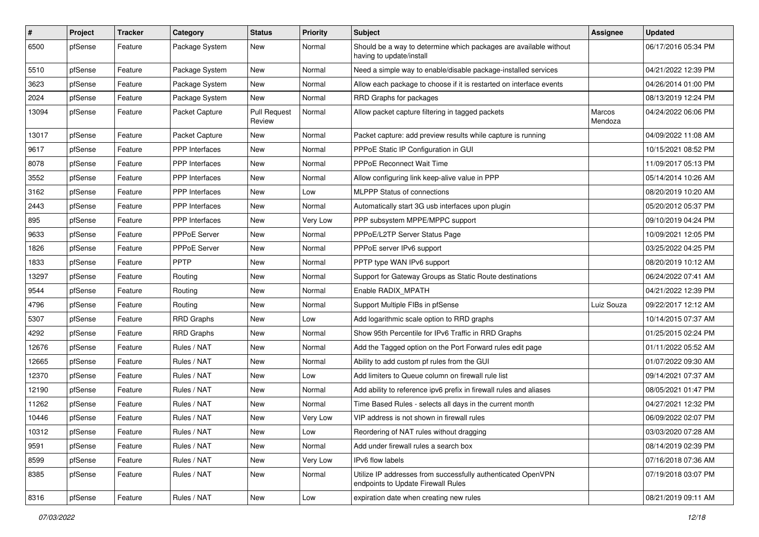| $\sharp$ | Project | <b>Tracker</b> | Category              | <b>Status</b>                 | <b>Priority</b> | Subject                                                                                            | Assignee          | <b>Updated</b>      |
|----------|---------|----------------|-----------------------|-------------------------------|-----------------|----------------------------------------------------------------------------------------------------|-------------------|---------------------|
| 6500     | pfSense | Feature        | Package System        | New                           | Normal          | Should be a way to determine which packages are available without<br>having to update/install      |                   | 06/17/2016 05:34 PM |
| 5510     | pfSense | Feature        | Package System        | New                           | Normal          | Need a simple way to enable/disable package-installed services                                     |                   | 04/21/2022 12:39 PM |
| 3623     | pfSense | Feature        | Package System        | New                           | Normal          | Allow each package to choose if it is restarted on interface events                                |                   | 04/26/2014 01:00 PM |
| 2024     | pfSense | Feature        | Package System        | New                           | Normal          | RRD Graphs for packages                                                                            |                   | 08/13/2019 12:24 PM |
| 13094    | pfSense | Feature        | Packet Capture        | <b>Pull Request</b><br>Review | Normal          | Allow packet capture filtering in tagged packets                                                   | Marcos<br>Mendoza | 04/24/2022 06:06 PM |
| 13017    | pfSense | Feature        | Packet Capture        | New                           | Normal          | Packet capture: add preview results while capture is running                                       |                   | 04/09/2022 11:08 AM |
| 9617     | pfSense | Feature        | PPP Interfaces        | New                           | Normal          | PPPoE Static IP Configuration in GUI                                                               |                   | 10/15/2021 08:52 PM |
| 8078     | pfSense | Feature        | <b>PPP</b> Interfaces | New                           | Normal          | PPPoE Reconnect Wait Time                                                                          |                   | 11/09/2017 05:13 PM |
| 3552     | pfSense | Feature        | PPP Interfaces        | New                           | Normal          | Allow configuring link keep-alive value in PPP                                                     |                   | 05/14/2014 10:26 AM |
| 3162     | pfSense | Feature        | PPP Interfaces        | New                           | Low             | <b>MLPPP Status of connections</b>                                                                 |                   | 08/20/2019 10:20 AM |
| 2443     | pfSense | Feature        | <b>PPP</b> Interfaces | New                           | Normal          | Automatically start 3G usb interfaces upon plugin                                                  |                   | 05/20/2012 05:37 PM |
| 895      | pfSense | Feature        | PPP Interfaces        | New                           | Very Low        | PPP subsystem MPPE/MPPC support                                                                    |                   | 09/10/2019 04:24 PM |
| 9633     | pfSense | Feature        | PPPoE Server          | New                           | Normal          | PPPoE/L2TP Server Status Page                                                                      |                   | 10/09/2021 12:05 PM |
| 1826     | pfSense | Feature        | PPPoE Server          | New                           | Normal          | PPPoE server IPv6 support                                                                          |                   | 03/25/2022 04:25 PM |
| 1833     | pfSense | Feature        | PPTP                  | New                           | Normal          | PPTP type WAN IPv6 support                                                                         |                   | 08/20/2019 10:12 AM |
| 13297    | pfSense | Feature        | Routing               | New                           | Normal          | Support for Gateway Groups as Static Route destinations                                            |                   | 06/24/2022 07:41 AM |
| 9544     | pfSense | Feature        | Routing               | New                           | Normal          | Enable RADIX MPATH                                                                                 |                   | 04/21/2022 12:39 PM |
| 4796     | pfSense | Feature        | Routing               | New                           | Normal          | Support Multiple FIBs in pfSense                                                                   | Luiz Souza        | 09/22/2017 12:12 AM |
| 5307     | pfSense | Feature        | <b>RRD Graphs</b>     | New                           | Low             | Add logarithmic scale option to RRD graphs                                                         |                   | 10/14/2015 07:37 AM |
| 4292     | pfSense | Feature        | <b>RRD Graphs</b>     | New                           | Normal          | Show 95th Percentile for IPv6 Traffic in RRD Graphs                                                |                   | 01/25/2015 02:24 PM |
| 12676    | pfSense | Feature        | Rules / NAT           | New                           | Normal          | Add the Tagged option on the Port Forward rules edit page                                          |                   | 01/11/2022 05:52 AM |
| 12665    | pfSense | Feature        | Rules / NAT           | New                           | Normal          | Ability to add custom pf rules from the GUI                                                        |                   | 01/07/2022 09:30 AM |
| 12370    | pfSense | Feature        | Rules / NAT           | New                           | Low             | Add limiters to Queue column on firewall rule list                                                 |                   | 09/14/2021 07:37 AM |
| 12190    | pfSense | Feature        | Rules / NAT           | New                           | Normal          | Add ability to reference ipv6 prefix in firewall rules and aliases                                 |                   | 08/05/2021 01:47 PM |
| 11262    | pfSense | Feature        | Rules / NAT           | New                           | Normal          | Time Based Rules - selects all days in the current month                                           |                   | 04/27/2021 12:32 PM |
| 10446    | pfSense | Feature        | Rules / NAT           | New                           | Very Low        | VIP address is not shown in firewall rules                                                         |                   | 06/09/2022 02:07 PM |
| 10312    | pfSense | Feature        | Rules / NAT           | New                           | Low             | Reordering of NAT rules without dragging                                                           |                   | 03/03/2020 07:28 AM |
| 9591     | pfSense | Feature        | Rules / NAT           | New                           | Normal          | Add under firewall rules a search box                                                              |                   | 08/14/2019 02:39 PM |
| 8599     | pfSense | Feature        | Rules / NAT           | New                           | Very Low        | IPv6 flow labels                                                                                   |                   | 07/16/2018 07:36 AM |
| 8385     | pfSense | Feature        | Rules / NAT           | New                           | Normal          | Utilize IP addresses from successfully authenticated OpenVPN<br>endpoints to Update Firewall Rules |                   | 07/19/2018 03:07 PM |
| 8316     | pfSense | Feature        | Rules / NAT           | New                           | Low             | expiration date when creating new rules                                                            |                   | 08/21/2019 09:11 AM |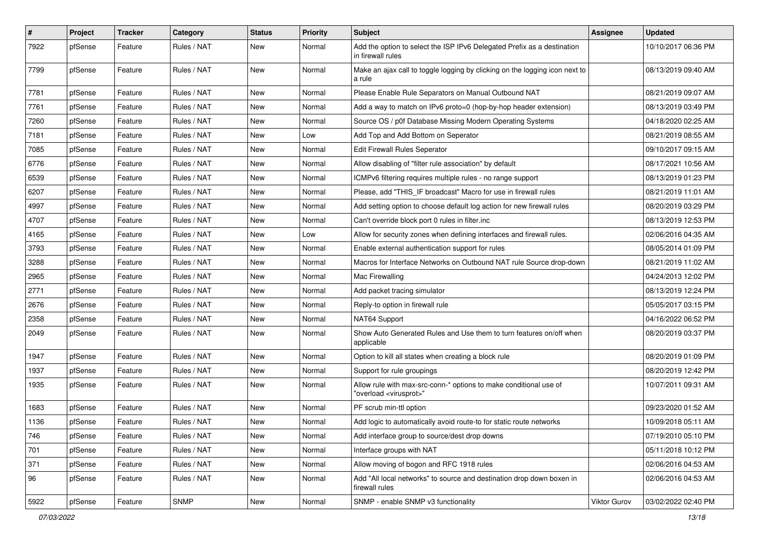| #    | Project | <b>Tracker</b> | Category    | <b>Status</b> | <b>Priority</b> | Subject                                                                                                 | Assignee     | <b>Updated</b>      |
|------|---------|----------------|-------------|---------------|-----------------|---------------------------------------------------------------------------------------------------------|--------------|---------------------|
| 7922 | pfSense | Feature        | Rules / NAT | New           | Normal          | Add the option to select the ISP IPv6 Delegated Prefix as a destination<br>in firewall rules            |              | 10/10/2017 06:36 PM |
| 7799 | pfSense | Feature        | Rules / NAT | New           | Normal          | Make an ajax call to toggle logging by clicking on the logging icon next to<br>a rule                   |              | 08/13/2019 09:40 AM |
| 7781 | pfSense | Feature        | Rules / NAT | New           | Normal          | Please Enable Rule Separators on Manual Outbound NAT                                                    |              | 08/21/2019 09:07 AM |
| 7761 | pfSense | Feature        | Rules / NAT | New           | Normal          | Add a way to match on IPv6 proto=0 (hop-by-hop header extension)                                        |              | 08/13/2019 03:49 PM |
| 7260 | pfSense | Feature        | Rules / NAT | New           | Normal          | Source OS / p0f Database Missing Modern Operating Systems                                               |              | 04/18/2020 02:25 AM |
| 7181 | pfSense | Feature        | Rules / NAT | New           | Low             | Add Top and Add Bottom on Seperator                                                                     |              | 08/21/2019 08:55 AM |
| 7085 | pfSense | Feature        | Rules / NAT | New           | Normal          | Edit Firewall Rules Seperator                                                                           |              | 09/10/2017 09:15 AM |
| 6776 | pfSense | Feature        | Rules / NAT | New           | Normal          | Allow disabling of "filter rule association" by default                                                 |              | 08/17/2021 10:56 AM |
| 6539 | pfSense | Feature        | Rules / NAT | New           | Normal          | ICMPv6 filtering requires multiple rules - no range support                                             |              | 08/13/2019 01:23 PM |
| 6207 | pfSense | Feature        | Rules / NAT | New           | Normal          | Please, add "THIS_IF broadcast" Macro for use in firewall rules                                         |              | 08/21/2019 11:01 AM |
| 4997 | pfSense | Feature        | Rules / NAT | New           | Normal          | Add setting option to choose default log action for new firewall rules                                  |              | 08/20/2019 03:29 PM |
| 4707 | pfSense | Feature        | Rules / NAT | New           | Normal          | Can't override block port 0 rules in filter.inc                                                         |              | 08/13/2019 12:53 PM |
| 4165 | pfSense | Feature        | Rules / NAT | New           | Low             | Allow for security zones when defining interfaces and firewall rules.                                   |              | 02/06/2016 04:35 AM |
| 3793 | pfSense | Feature        | Rules / NAT | New           | Normal          | Enable external authentication support for rules                                                        |              | 08/05/2014 01:09 PM |
| 3288 | pfSense | Feature        | Rules / NAT | New           | Normal          | Macros for Interface Networks on Outbound NAT rule Source drop-down                                     |              | 08/21/2019 11:02 AM |
| 2965 | pfSense | Feature        | Rules / NAT | New           | Normal          | Mac Firewalling                                                                                         |              | 04/24/2013 12:02 PM |
| 2771 | pfSense | Feature        | Rules / NAT | New           | Normal          | Add packet tracing simulator                                                                            |              | 08/13/2019 12:24 PM |
| 2676 | pfSense | Feature        | Rules / NAT | New           | Normal          | Reply-to option in firewall rule                                                                        |              | 05/05/2017 03:15 PM |
| 2358 | pfSense | Feature        | Rules / NAT | New           | Normal          | NAT64 Support                                                                                           |              | 04/16/2022 06:52 PM |
| 2049 | pfSense | Feature        | Rules / NAT | New           | Normal          | Show Auto Generated Rules and Use them to turn features on/off when<br>applicable                       |              | 08/20/2019 03:37 PM |
| 1947 | pfSense | Feature        | Rules / NAT | New           | Normal          | Option to kill all states when creating a block rule                                                    |              | 08/20/2019 01:09 PM |
| 1937 | pfSense | Feature        | Rules / NAT | New           | Normal          | Support for rule groupings                                                                              |              | 08/20/2019 12:42 PM |
| 1935 | pfSense | Feature        | Rules / NAT | New           | Normal          | Allow rule with max-src-conn-* options to make conditional use of<br>"overload <virusprot>"</virusprot> |              | 10/07/2011 09:31 AM |
| 1683 | pfSense | Feature        | Rules / NAT | New           | Normal          | PF scrub min-ttl option                                                                                 |              | 09/23/2020 01:52 AM |
| 1136 | pfSense | Feature        | Rules / NAT | New           | Normal          | Add logic to automatically avoid route-to for static route networks                                     |              | 10/09/2018 05:11 AM |
| 746  | pfSense | Feature        | Rules / NAT | New           | Normal          | Add interface group to source/dest drop downs                                                           |              | 07/19/2010 05:10 PM |
| 701  | pfSense | Feature        | Rules / NAT | New           | Normal          | Interface groups with NAT                                                                               |              | 05/11/2018 10:12 PM |
| 371  | pfSense | Feature        | Rules / NAT | New           | Normal          | Allow moving of bogon and RFC 1918 rules                                                                |              | 02/06/2016 04:53 AM |
| 96   | pfSense | Feature        | Rules / NAT | New           | Normal          | Add "All local networks" to source and destination drop down boxen in<br>firewall rules                 |              | 02/06/2016 04:53 AM |
| 5922 | pfSense | Feature        | <b>SNMP</b> | New           | Normal          | SNMP - enable SNMP v3 functionality                                                                     | Viktor Gurov | 03/02/2022 02:40 PM |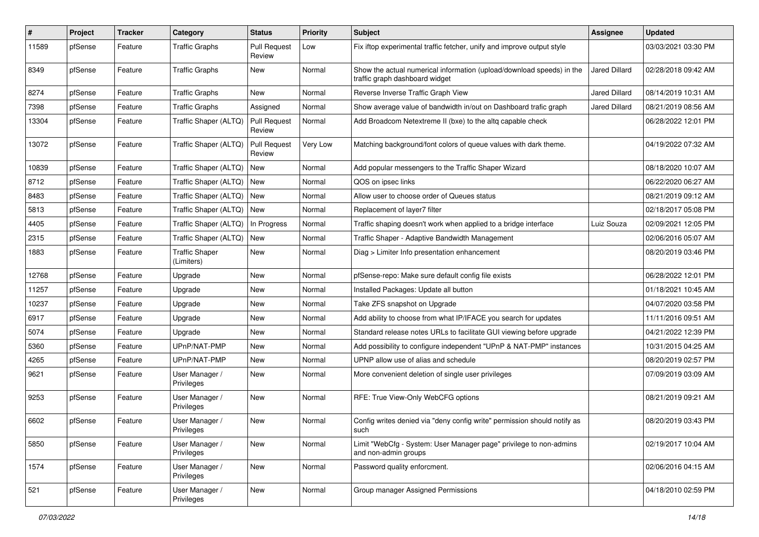| #     | Project | <b>Tracker</b> | Category                            | <b>Status</b>                 | <b>Priority</b> | <b>Subject</b>                                                                                          | Assignee             | <b>Updated</b>      |
|-------|---------|----------------|-------------------------------------|-------------------------------|-----------------|---------------------------------------------------------------------------------------------------------|----------------------|---------------------|
| 11589 | pfSense | Feature        | <b>Traffic Graphs</b>               | <b>Pull Request</b><br>Review | Low             | Fix iftop experimental traffic fetcher, unify and improve output style                                  |                      | 03/03/2021 03:30 PM |
| 8349  | pfSense | Feature        | <b>Traffic Graphs</b>               | New                           | Normal          | Show the actual numerical information (upload/download speeds) in the<br>traffic graph dashboard widget | <b>Jared Dillard</b> | 02/28/2018 09:42 AM |
| 8274  | pfSense | Feature        | <b>Traffic Graphs</b>               | New                           | Normal          | Reverse Inverse Traffic Graph View                                                                      | <b>Jared Dillard</b> | 08/14/2019 10:31 AM |
| 7398  | pfSense | Feature        | <b>Traffic Graphs</b>               | Assigned                      | Normal          | Show average value of bandwidth in/out on Dashboard trafic graph                                        | Jared Dillard        | 08/21/2019 08:56 AM |
| 13304 | pfSense | Feature        | Traffic Shaper (ALTQ)               | <b>Pull Request</b><br>Review | Normal          | Add Broadcom Netextreme II (bxe) to the altg capable check                                              |                      | 06/28/2022 12:01 PM |
| 13072 | pfSense | Feature        | Traffic Shaper (ALTQ)               | <b>Pull Request</b><br>Review | Very Low        | Matching background/font colors of queue values with dark theme.                                        |                      | 04/19/2022 07:32 AM |
| 10839 | pfSense | Feature        | Traffic Shaper (ALTQ)               | New                           | Normal          | Add popular messengers to the Traffic Shaper Wizard                                                     |                      | 08/18/2020 10:07 AM |
| 8712  | pfSense | Feature        | Traffic Shaper (ALTQ)               | New                           | Normal          | QOS on ipsec links                                                                                      |                      | 06/22/2020 06:27 AM |
| 8483  | pfSense | Feature        | Traffic Shaper (ALTQ)               | New                           | Normal          | Allow user to choose order of Queues status                                                             |                      | 08/21/2019 09:12 AM |
| 5813  | pfSense | Feature        | Traffic Shaper (ALTQ)               | New                           | Normal          | Replacement of layer7 filter                                                                            |                      | 02/18/2017 05:08 PM |
| 4405  | pfSense | Feature        | Traffic Shaper (ALTQ)               | In Progress                   | Normal          | Traffic shaping doesn't work when applied to a bridge interface                                         | Luiz Souza           | 02/09/2021 12:05 PM |
| 2315  | pfSense | Feature        | Traffic Shaper (ALTQ)               | New                           | Normal          | Traffic Shaper - Adaptive Bandwidth Management                                                          |                      | 02/06/2016 05:07 AM |
| 1883  | pfSense | Feature        | <b>Traffic Shaper</b><br>(Limiters) | New                           | Normal          | Diag > Limiter Info presentation enhancement                                                            |                      | 08/20/2019 03:46 PM |
| 12768 | pfSense | Feature        | Upgrade                             | New                           | Normal          | pfSense-repo: Make sure default config file exists                                                      |                      | 06/28/2022 12:01 PM |
| 11257 | pfSense | Feature        | Upgrade                             | New                           | Normal          | Installed Packages: Update all button                                                                   |                      | 01/18/2021 10:45 AM |
| 10237 | pfSense | Feature        | Upgrade                             | New                           | Normal          | Take ZFS snapshot on Upgrade                                                                            |                      | 04/07/2020 03:58 PM |
| 6917  | pfSense | Feature        | Upgrade                             | New                           | Normal          | Add ability to choose from what IP/IFACE you search for updates                                         |                      | 11/11/2016 09:51 AM |
| 5074  | pfSense | Feature        | Upgrade                             | New                           | Normal          | Standard release notes URLs to facilitate GUI viewing before upgrade                                    |                      | 04/21/2022 12:39 PM |
| 5360  | pfSense | Feature        | UPnP/NAT-PMP                        | New                           | Normal          | Add possibility to configure independent "UPnP & NAT-PMP" instances                                     |                      | 10/31/2015 04:25 AM |
| 4265  | pfSense | Feature        | UPnP/NAT-PMP                        | New                           | Normal          | UPNP allow use of alias and schedule                                                                    |                      | 08/20/2019 02:57 PM |
| 9621  | pfSense | Feature        | User Manager /<br>Privileges        | New                           | Normal          | More convenient deletion of single user privileges                                                      |                      | 07/09/2019 03:09 AM |
| 9253  | pfSense | Feature        | User Manager /<br>Privileges        | New                           | Normal          | RFE: True View-Only WebCFG options                                                                      |                      | 08/21/2019 09:21 AM |
| 6602  | pfSense | Feature        | User Manager /<br>Privileges        | New                           | Normal          | Config writes denied via "deny config write" permission should notify as<br>sucn                        |                      | 08/20/2019 03:43 PM |
| 5850  | pfSense | Feature        | User Manager /<br>Privileges        | New                           | Normal          | Limit "WebCfg - System: User Manager page" privilege to non-admins<br>and non-admin groups              |                      | 02/19/2017 10:04 AM |
| 1574  | pfSense | Feature        | User Manager /<br>Privileges        | New                           | Normal          | Password quality enforcment.                                                                            |                      | 02/06/2016 04:15 AM |
| 521   | pfSense | Feature        | User Manager /<br>Privileges        | New                           | Normal          | Group manager Assigned Permissions                                                                      |                      | 04/18/2010 02:59 PM |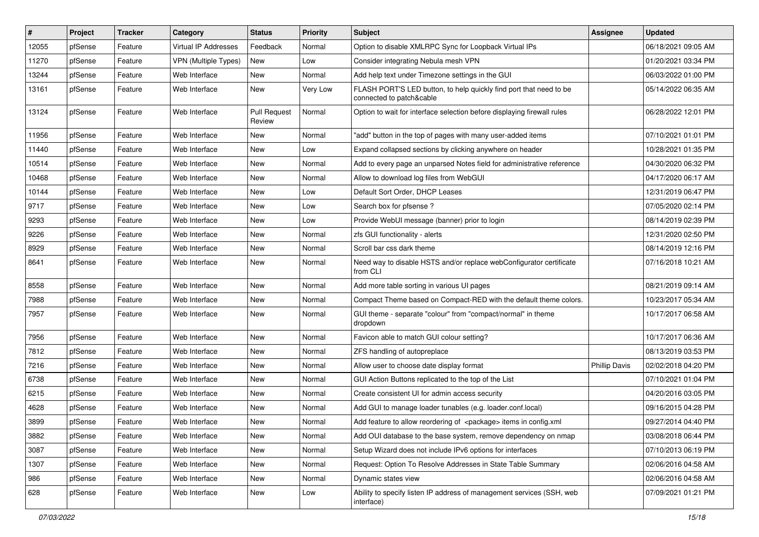| #     | Project | <b>Tracker</b> | Category                    | <b>Status</b>                 | <b>Priority</b> | Subject                                                                                        | <b>Assignee</b>      | <b>Updated</b>      |
|-------|---------|----------------|-----------------------------|-------------------------------|-----------------|------------------------------------------------------------------------------------------------|----------------------|---------------------|
| 12055 | pfSense | Feature        | Virtual IP Addresses        | Feedback                      | Normal          | Option to disable XMLRPC Sync for Loopback Virtual IPs                                         |                      | 06/18/2021 09:05 AM |
| 11270 | pfSense | Feature        | <b>VPN</b> (Multiple Types) | New                           | Low             | Consider integrating Nebula mesh VPN                                                           |                      | 01/20/2021 03:34 PM |
| 13244 | pfSense | Feature        | Web Interface               | New                           | Normal          | Add help text under Timezone settings in the GUI                                               |                      | 06/03/2022 01:00 PM |
| 13161 | pfSense | Feature        | Web Interface               | New                           | Very Low        | FLASH PORT'S LED button, to help quickly find port that need to be<br>connected to patch&cable |                      | 05/14/2022 06:35 AM |
| 13124 | pfSense | Feature        | Web Interface               | <b>Pull Request</b><br>Review | Normal          | Option to wait for interface selection before displaying firewall rules                        |                      | 06/28/2022 12:01 PM |
| 11956 | pfSense | Feature        | Web Interface               | New                           | Normal          | "add" button in the top of pages with many user-added items                                    |                      | 07/10/2021 01:01 PM |
| 11440 | pfSense | Feature        | Web Interface               | New                           | Low             | Expand collapsed sections by clicking anywhere on header                                       |                      | 10/28/2021 01:35 PM |
| 10514 | pfSense | Feature        | Web Interface               | New                           | Normal          | Add to every page an unparsed Notes field for administrative reference                         |                      | 04/30/2020 06:32 PM |
| 10468 | pfSense | Feature        | Web Interface               | New                           | Normal          | Allow to download log files from WebGUI                                                        |                      | 04/17/2020 06:17 AM |
| 10144 | pfSense | Feature        | Web Interface               | New                           | Low             | Default Sort Order, DHCP Leases                                                                |                      | 12/31/2019 06:47 PM |
| 9717  | pfSense | Feature        | Web Interface               | New                           | Low             | Search box for pfsense?                                                                        |                      | 07/05/2020 02:14 PM |
| 9293  | pfSense | Feature        | Web Interface               | New                           | Low             | Provide WebUI message (banner) prior to login                                                  |                      | 08/14/2019 02:39 PM |
| 9226  | pfSense | Feature        | Web Interface               | New                           | Normal          | zfs GUI functionality - alerts                                                                 |                      | 12/31/2020 02:50 PM |
| 8929  | pfSense | Feature        | Web Interface               | New                           | Normal          | Scroll bar css dark theme                                                                      |                      | 08/14/2019 12:16 PM |
| 8641  | pfSense | Feature        | Web Interface               | New                           | Normal          | Need way to disable HSTS and/or replace webConfigurator certificate<br>from CLI                |                      | 07/16/2018 10:21 AM |
| 8558  | pfSense | Feature        | Web Interface               | New                           | Normal          | Add more table sorting in various UI pages                                                     |                      | 08/21/2019 09:14 AM |
| 7988  | pfSense | Feature        | Web Interface               | New                           | Normal          | Compact Theme based on Compact-RED with the default theme colors.                              |                      | 10/23/2017 05:34 AM |
| 7957  | pfSense | Feature        | Web Interface               | New                           | Normal          | GUI theme - separate "colour" from "compact/normal" in theme<br>dropdown                       |                      | 10/17/2017 06:58 AM |
| 7956  | pfSense | Feature        | Web Interface               | New                           | Normal          | Favicon able to match GUI colour setting?                                                      |                      | 10/17/2017 06:36 AM |
| 7812  | pfSense | Feature        | Web Interface               | New                           | Normal          | ZFS handling of autopreplace                                                                   |                      | 08/13/2019 03:53 PM |
| 7216  | pfSense | Feature        | Web Interface               | New                           | Normal          | Allow user to choose date display format                                                       | <b>Phillip Davis</b> | 02/02/2018 04:20 PM |
| 6738  | pfSense | Feature        | Web Interface               | New                           | Normal          | GUI Action Buttons replicated to the top of the List                                           |                      | 07/10/2021 01:04 PM |
| 6215  | pfSense | Feature        | Web Interface               | New                           | Normal          | Create consistent UI for admin access security                                                 |                      | 04/20/2016 03:05 PM |
| 4628  | pfSense | Feature        | Web Interface               | New                           | Normal          | Add GUI to manage loader tunables (e.g. loader.conf.local)                                     |                      | 09/16/2015 04:28 PM |
| 3899  | pfSense | Feature        | Web Interface               | New                           | Normal          | Add feature to allow reordering of <package> items in config.xml</package>                     |                      | 09/27/2014 04:40 PM |
| 3882  | pfSense | Feature        | Web Interface               | New                           | Normal          | Add OUI database to the base system, remove dependency on nmap                                 |                      | 03/08/2018 06:44 PM |
| 3087  | pfSense | Feature        | Web Interface               | New                           | Normal          | Setup Wizard does not include IPv6 options for interfaces                                      |                      | 07/10/2013 06:19 PM |
| 1307  | pfSense | Feature        | Web Interface               | New                           | Normal          | Request: Option To Resolve Addresses in State Table Summary                                    |                      | 02/06/2016 04:58 AM |
| 986   | pfSense | Feature        | Web Interface               | New                           | Normal          | Dynamic states view                                                                            |                      | 02/06/2016 04:58 AM |
| 628   | pfSense | Feature        | Web Interface               | New                           | Low             | Ability to specify listen IP address of management services (SSH, web<br>interface)            |                      | 07/09/2021 01:21 PM |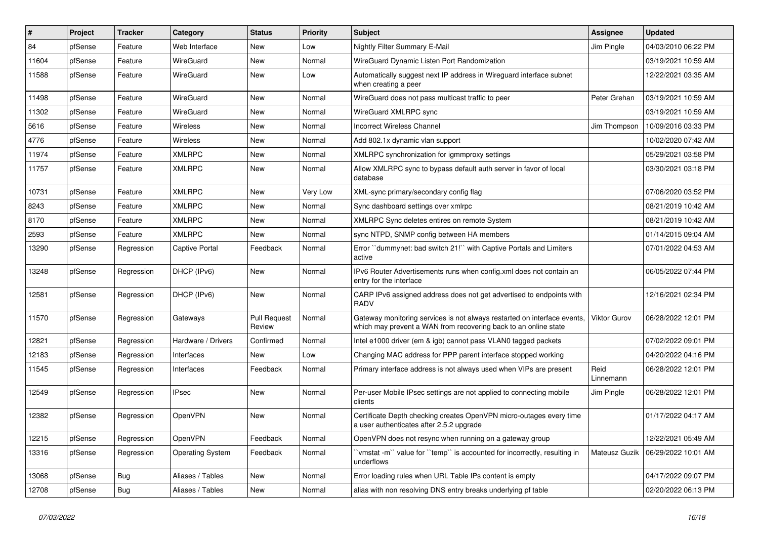| ∦     | Project | <b>Tracker</b> | Category                | <b>Status</b>                 | <b>Priority</b> | <b>Subject</b>                                                                                                                              | <b>Assignee</b>   | <b>Updated</b>      |
|-------|---------|----------------|-------------------------|-------------------------------|-----------------|---------------------------------------------------------------------------------------------------------------------------------------------|-------------------|---------------------|
| 84    | pfSense | Feature        | Web Interface           | New                           | Low             | Nightly Filter Summary E-Mail                                                                                                               | Jim Pingle        | 04/03/2010 06:22 PM |
| 11604 | pfSense | Feature        | WireGuard               | New                           | Normal          | WireGuard Dynamic Listen Port Randomization                                                                                                 |                   | 03/19/2021 10:59 AM |
| 11588 | pfSense | Feature        | WireGuard               | New                           | Low             | Automatically suggest next IP address in Wireguard interface subnet<br>when creating a peer                                                 |                   | 12/22/2021 03:35 AM |
| 11498 | pfSense | Feature        | WireGuard               | New                           | Normal          | WireGuard does not pass multicast traffic to peer                                                                                           | Peter Grehan      | 03/19/2021 10:59 AM |
| 11302 | pfSense | Feature        | WireGuard               | New                           | Normal          | WireGuard XMLRPC sync                                                                                                                       |                   | 03/19/2021 10:59 AM |
| 5616  | pfSense | Feature        | Wireless                | New                           | Normal          | Incorrect Wireless Channel                                                                                                                  | Jim Thompson      | 10/09/2016 03:33 PM |
| 4776  | pfSense | Feature        | <b>Wireless</b>         | New                           | Normal          | Add 802.1x dynamic vlan support                                                                                                             |                   | 10/02/2020 07:42 AM |
| 11974 | pfSense | Feature        | <b>XMLRPC</b>           | New                           | Normal          | XMLRPC synchronization for igmmproxy settings                                                                                               |                   | 05/29/2021 03:58 PM |
| 11757 | pfSense | Feature        | <b>XMLRPC</b>           | New                           | Normal          | Allow XMLRPC sync to bypass default auth server in favor of local<br>database                                                               |                   | 03/30/2021 03:18 PM |
| 10731 | pfSense | Feature        | <b>XMLRPC</b>           | New                           | Very Low        | XML-sync primary/secondary config flag                                                                                                      |                   | 07/06/2020 03:52 PM |
| 8243  | pfSense | Feature        | <b>XMLRPC</b>           | New                           | Normal          | Sync dashboard settings over xmlrpc                                                                                                         |                   | 08/21/2019 10:42 AM |
| 8170  | pfSense | Feature        | <b>XMLRPC</b>           | New                           | Normal          | XMLRPC Sync deletes entires on remote System                                                                                                |                   | 08/21/2019 10:42 AM |
| 2593  | pfSense | Feature        | <b>XMLRPC</b>           | New                           | Normal          | sync NTPD, SNMP config between HA members                                                                                                   |                   | 01/14/2015 09:04 AM |
| 13290 | pfSense | Regression     | <b>Captive Portal</b>   | Feedback                      | Normal          | Error "dummynet: bad switch 21!" with Captive Portals and Limiters<br>active                                                                |                   | 07/01/2022 04:53 AM |
| 13248 | pfSense | Regression     | DHCP (IPv6)             | New                           | Normal          | IPv6 Router Advertisements runs when config.xml does not contain an<br>entry for the interface                                              |                   | 06/05/2022 07:44 PM |
| 12581 | pfSense | Regression     | DHCP (IPv6)             | New                           | Normal          | CARP IPv6 assigned address does not get advertised to endpoints with<br><b>RADV</b>                                                         |                   | 12/16/2021 02:34 PM |
| 11570 | pfSense | Regression     | Gateways                | <b>Pull Request</b><br>Review | Normal          | Gateway monitoring services is not always restarted on interface events,<br>which may prevent a WAN from recovering back to an online state | Viktor Gurov      | 06/28/2022 12:01 PM |
| 12821 | pfSense | Regression     | Hardware / Drivers      | Confirmed                     | Normal          | Intel e1000 driver (em & igb) cannot pass VLAN0 tagged packets                                                                              |                   | 07/02/2022 09:01 PM |
| 12183 | pfSense | Regression     | Interfaces              | New                           | Low             | Changing MAC address for PPP parent interface stopped working                                                                               |                   | 04/20/2022 04:16 PM |
| 11545 | pfSense | Regression     | Interfaces              | Feedback                      | Normal          | Primary interface address is not always used when VIPs are present                                                                          | Reid<br>Linnemann | 06/28/2022 12:01 PM |
| 12549 | pfSense | Regression     | <b>IPsec</b>            | New                           | Normal          | Per-user Mobile IPsec settings are not applied to connecting mobile<br>clients                                                              | Jim Pingle        | 06/28/2022 12:01 PM |
| 12382 | pfSense | Regression     | OpenVPN                 | New                           | Normal          | Certificate Depth checking creates OpenVPN micro-outages every time<br>a user authenticates after 2.5.2 upgrade                             |                   | 01/17/2022 04:17 AM |
| 12215 | pfSense | Regression     | OpenVPN                 | Feedback                      | Normal          | OpenVPN does not resync when running on a gateway group                                                                                     |                   | 12/22/2021 05:49 AM |
| 13316 | pfSense | Regression     | <b>Operating System</b> | Feedback                      | Normal          | 'vmstat -m'' value for ''temp'' is accounted for incorrectly, resulting in<br>underflows                                                    | Mateusz Guzik     | 06/29/2022 10:01 AM |
| 13068 | pfSense | <b>Bug</b>     | Aliases / Tables        | New                           | Normal          | Error loading rules when URL Table IPs content is empty                                                                                     |                   | 04/17/2022 09:07 PM |
| 12708 | pfSense | Bug            | Aliases / Tables        | New                           | Normal          | alias with non resolving DNS entry breaks underlying pf table                                                                               |                   | 02/20/2022 06:13 PM |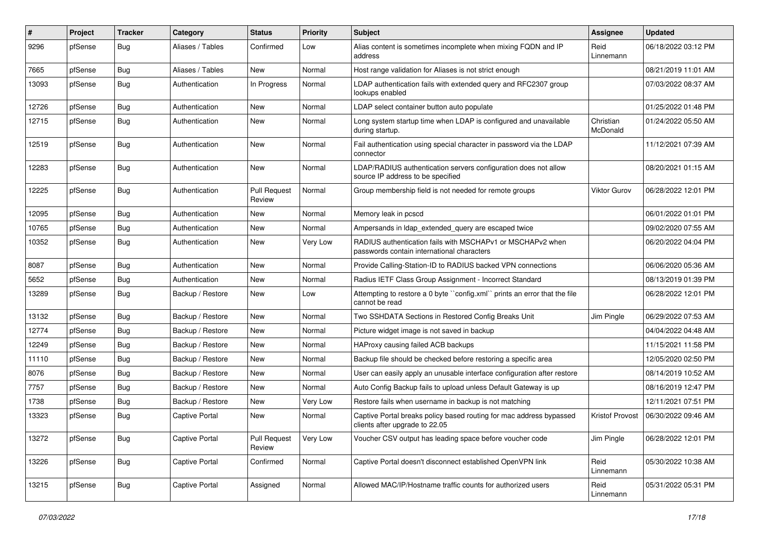| $\#$  | Project | <b>Tracker</b> | Category              | <b>Status</b>                 | Priority | <b>Subject</b>                                                                                           | <b>Assignee</b>        | <b>Updated</b>      |
|-------|---------|----------------|-----------------------|-------------------------------|----------|----------------------------------------------------------------------------------------------------------|------------------------|---------------------|
| 9296  | pfSense | <b>Bug</b>     | Aliases / Tables      | Confirmed                     | Low      | Alias content is sometimes incomplete when mixing FQDN and IP<br>address                                 | Reid<br>Linnemann      | 06/18/2022 03:12 PM |
| 7665  | pfSense | Bug            | Aliases / Tables      | New                           | Normal   | Host range validation for Aliases is not strict enough                                                   |                        | 08/21/2019 11:01 AM |
| 13093 | pfSense | <b>Bug</b>     | Authentication        | In Progress                   | Normal   | LDAP authentication fails with extended query and RFC2307 group<br>lookups enabled                       |                        | 07/03/2022 08:37 AM |
| 12726 | pfSense | <b>Bug</b>     | Authentication        | New                           | Normal   | LDAP select container button auto populate                                                               |                        | 01/25/2022 01:48 PM |
| 12715 | pfSense | Bug            | Authentication        | New                           | Normal   | Long system startup time when LDAP is configured and unavailable<br>during startup.                      | Christian<br>McDonald  | 01/24/2022 05:50 AM |
| 12519 | pfSense | <b>Bug</b>     | Authentication        | New                           | Normal   | Fail authentication using special character in password via the LDAP<br>connector                        |                        | 11/12/2021 07:39 AM |
| 12283 | pfSense | <b>Bug</b>     | Authentication        | New                           | Normal   | LDAP/RADIUS authentication servers configuration does not allow<br>source IP address to be specified     |                        | 08/20/2021 01:15 AM |
| 12225 | pfSense | Bug            | Authentication        | <b>Pull Request</b><br>Review | Normal   | Group membership field is not needed for remote groups                                                   | Viktor Gurov           | 06/28/2022 12:01 PM |
| 12095 | pfSense | i Bug          | Authentication        | New                           | Normal   | Memory leak in pcscd                                                                                     |                        | 06/01/2022 01:01 PM |
| 10765 | pfSense | Bug            | Authentication        | New                           | Normal   | Ampersands in Idap_extended_query are escaped twice                                                      |                        | 09/02/2020 07:55 AM |
| 10352 | pfSense | <b>Bug</b>     | Authentication        | New                           | Very Low | RADIUS authentication fails with MSCHAPv1 or MSCHAPv2 when<br>passwords contain international characters |                        | 06/20/2022 04:04 PM |
| 8087  | pfSense | Bug            | Authentication        | New                           | Normal   | Provide Calling-Station-ID to RADIUS backed VPN connections                                              |                        | 06/06/2020 05:36 AM |
| 5652  | pfSense | Bug            | Authentication        | New                           | Normal   | Radius IETF Class Group Assignment - Incorrect Standard                                                  |                        | 08/13/2019 01:39 PM |
| 13289 | pfSense | Bug            | Backup / Restore      | New                           | Low      | Attempting to restore a 0 byte "config.xml" prints an error that the file<br>cannot be read              |                        | 06/28/2022 12:01 PM |
| 13132 | pfSense | <b>Bug</b>     | Backup / Restore      | New                           | Normal   | Two SSHDATA Sections in Restored Config Breaks Unit                                                      | Jim Pingle             | 06/29/2022 07:53 AM |
| 12774 | pfSense | Bug            | Backup / Restore      | New                           | Normal   | Picture widget image is not saved in backup                                                              |                        | 04/04/2022 04:48 AM |
| 12249 | pfSense | <b>Bug</b>     | Backup / Restore      | New                           | Normal   | HAProxy causing failed ACB backups                                                                       |                        | 11/15/2021 11:58 PM |
| 11110 | pfSense | Bug            | Backup / Restore      | New                           | Normal   | Backup file should be checked before restoring a specific area                                           |                        | 12/05/2020 02:50 PM |
| 8076  | pfSense | <b>Bug</b>     | Backup / Restore      | New                           | Normal   | User can easily apply an unusable interface configuration after restore                                  |                        | 08/14/2019 10:52 AM |
| 7757  | pfSense | Bug            | Backup / Restore      | New                           | Normal   | Auto Config Backup fails to upload unless Default Gateway is up                                          |                        | 08/16/2019 12:47 PM |
| 1738  | pfSense | <b>Bug</b>     | Backup / Restore      | New                           | Very Low | Restore fails when username in backup is not matching                                                    |                        | 12/11/2021 07:51 PM |
| 13323 | pfSense | <b>Bug</b>     | <b>Captive Portal</b> | New                           | Normal   | Captive Portal breaks policy based routing for mac address bypassed<br>clients after upgrade to 22.05    | <b>Kristof Provost</b> | 06/30/2022 09:46 AM |
| 13272 | pfSense | <b>Bug</b>     | <b>Captive Portal</b> | <b>Pull Request</b><br>Review | Very Low | Voucher CSV output has leading space before voucher code                                                 | Jim Pingle             | 06/28/2022 12:01 PM |
| 13226 | pfSense | <b>Bug</b>     | Captive Portal        | Confirmed                     | Normal   | Captive Portal doesn't disconnect established OpenVPN link                                               | Reid<br>Linnemann      | 05/30/2022 10:38 AM |
| 13215 | pfSense | Bug            | Captive Portal        | Assigned                      | Normal   | Allowed MAC/IP/Hostname traffic counts for authorized users                                              | Reid<br>Linnemann      | 05/31/2022 05:31 PM |